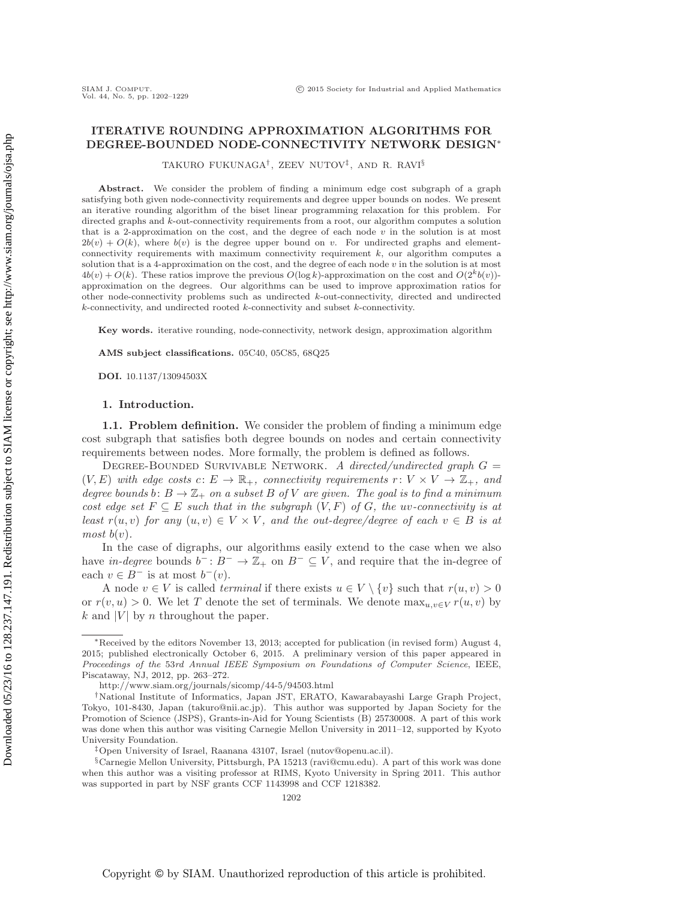# **ITERATIVE ROUNDING APPROXIMATION ALGORITHMS FOR DEGREE-BOUNDED NODE-CONNECTIVITY NETWORK DESIGN**∗

TAKURO FUKUNAGA†, ZEEV NUTOV‡, AND R. RAVI§

**Abstract.** We consider the problem of finding a minimum edge cost subgraph of a graph satisfying both given node-connectivity requirements and degree upper bounds on nodes. We present an iterative rounding algorithm of the biset linear programming relaxation for this problem. For directed graphs and *k*-out-connectivity requirements from a root, our algorithm computes a solution that is a 2-approximation on the cost, and the degree of each node *v* in the solution is at most  $2b(v) + O(k)$ , where  $b(v)$  is the degree upper bound on *v*. For undirected graphs and elementconnectivity requirements with maximum connectivity requirement *k*, our algorithm computes a solution that is a 4-approximation on the cost, and the degree of each node *v* in the solution is at most  $4b(v) + O(k)$ . These ratios improve the previous  $O(\log k)$ -approximation on the cost and  $O(2^k b(v))$ approximation on the degrees. Our algorithms can be used to improve approximation ratios for other node-connectivity problems such as undirected *k*-out-connectivity, directed and undirected *k*-connectivity, and undirected rooted *k*-connectivity and subset *k*-connectivity.

**Key words.** iterative rounding, node-connectivity, network design, approximation algorithm

**AMS subject classifications.** 05C40, 05C85, 68Q25

**DOI.** 10.1137/13094503X

### **1. Introduction.**

**1.1. Problem definition.** We consider the problem of finding a minimum edge cost subgraph that satisfies both degree bounds on nodes and certain connectivity requirements between nodes. More formally, the problem is defined as follows.

Degree-Bounded Survivable Network. *A directed/undirected graph* G =  $(V, E)$  *with edge costs*  $c: E \to \mathbb{R}_+$ *, connectivity requirements*  $r: V \times V \to \mathbb{Z}_+$ *, and degree bounds* b:  $B \to \mathbb{Z}_+$  *on a subset* B *of* V *are given. The goal is to find a minimum cost edge set*  $F \subseteq E$  *such that in the subgraph*  $(V, F)$  *of*  $G$ *, the uv-connectivity is at least*  $r(u, v)$  *for any*  $(u, v) \in V \times V$ *, and the out-degree/degree of each*  $v \in B$  *is at most*  $b(v)$ *.* 

In the case of digraphs, our algorithms easily extend to the case when we also have *in-degree* bounds  $b^-: B^- \to \mathbb{Z}_+$  on  $B^- \subseteq V$ , and require that the in-degree of each  $v \in B^-$  is at most  $b^-(v)$ .

A node  $v \in V$  is called *terminal* if there exists  $u \in V \setminus \{v\}$  such that  $r(u, v) > 0$ or  $r(v, u) > 0$ . We let T denote the set of terminals. We denote  $\max_{u,v \in V} r(u, v)$  by k and |V| by n throughout the paper.

<sup>∗</sup>Received by the editors November 13, 2013; accepted for publication (in revised form) August 4, 2015; published electronically October 6, 2015. A preliminary version of this paper appeared in *Proceedings of the* 53*rd Annual IEEE Symposium on Foundations of Computer Science*, IEEE, Piscataway, NJ, 2012, pp. 263–272.

<http://www.siam.org/journals/sicomp/44-5/94503.html>

<sup>†</sup>National Institute of Informatics, Japan JST, ERATO, Kawarabayashi Large Graph Project, Tokyo, 101-8430, Japan [\(takuro@nii.ac.jp\)](mailto:takuro@nii.ac.jp). This author was supported by Japan Society for the Promotion of Science (JSPS), Grants-in-Aid for Young Scientists (B) 25730008. A part of this work was done when this author was visiting Carnegie Mellon University in 2011–12, supported by Kyoto University Foundation.

<sup>‡</sup>Open University of Israel, Raanana 43107, Israel [\(nutov@openu.ac.il\)](mailto:nutov@openu.ac.il).

<sup>§</sup>Carnegie Mellon University, Pittsburgh, PA 15213 [\(ravi@cmu.edu\)](mailto:ravi@cmu.edu). A part of this work was done when this author was a visiting professor at RIMS, Kyoto University in Spring 2011. This author was supported in part by NSF grants CCF 1143998 and CCF 1218382.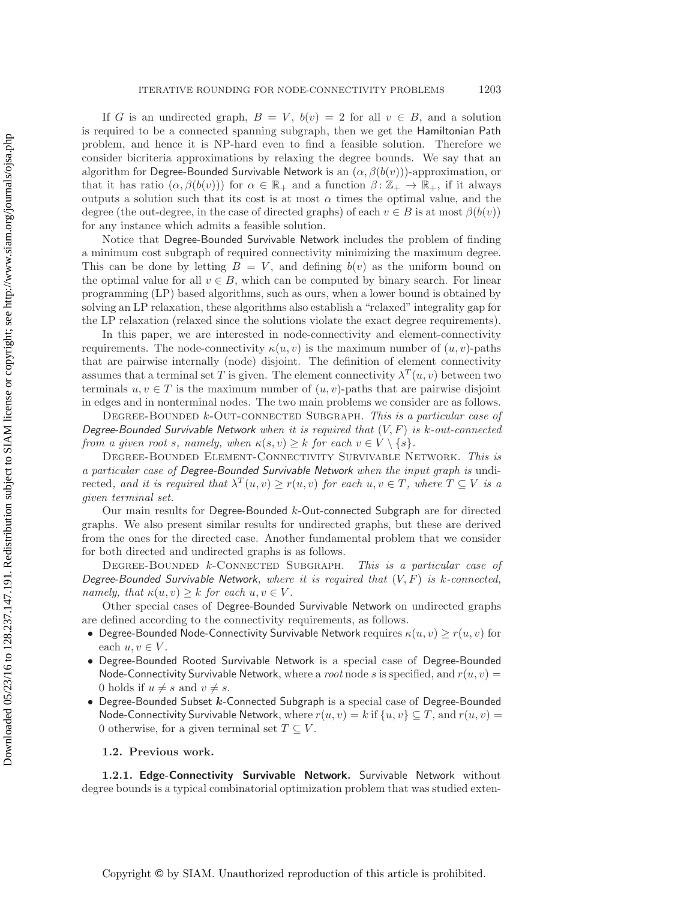If G is an undirected graph,  $B = V$ ,  $b(v) = 2$  for all  $v \in B$ , and a solution is required to be a connected spanning subgraph, then we get the Hamiltonian Path problem, and hence it is NP-hard even to find a feasible solution. Therefore we consider bicriteria approximations by relaxing the degree bounds. We say that an algorithm for Degree-Bounded Survivable Network is an  $(\alpha, \beta(b(v)))$ -approximation, or that it has ratio  $(\alpha, \beta(b(v)))$  for  $\alpha \in \mathbb{R}_+$  and a function  $\beta \colon \mathbb{Z}_+ \to \mathbb{R}_+$ , if it always outputs a solution such that its cost is at most  $\alpha$  times the optimal value, and the degree (the out-degree, in the case of directed graphs) of each  $v \in B$  is at most  $\beta(b(v))$ for any instance which admits a feasible solution.

Notice that Degree-Bounded Survivable Network includes the problem of finding a minimum cost subgraph of required connectivity minimizing the maximum degree. This can be done by letting  $B = V$ , and defining  $b(v)$  as the uniform bound on the optimal value for all  $v \in B$ , which can be computed by binary search. For linear programming (LP) based algorithms, such as ours, when a lower bound is obtained by solving an LP relaxation, these algorithms also establish a "relaxed" integrality gap for the LP relaxation (relaxed since the solutions violate the exact degree requirements).

In this paper, we are interested in node-connectivity and element-connectivity requirements. The node-connectivity  $\kappa(u, v)$  is the maximum number of  $(u, v)$ -paths that are pairwise internally (node) disjoint. The definition of element connectivity assumes that a terminal set T is given. The element connectivity  $\lambda^{T}(u, v)$  between two terminals  $u, v \in T$  is the maximum number of  $(u, v)$ -paths that are pairwise disjoint in edges and in nonterminal nodes. The two main problems we consider are as follows.

Degree-Bounded k-Out-connected Subgraph. *This is a particular case of Degree-Bounded Survivable Network when it is required that* (V,F) *is* k*-out-connected from a given root s, namely, when*  $\kappa(s, v) \geq k$  *for each*  $v \in V \setminus \{s\}.$ 

Degree-Bounded Element-Connectivity Survivable Network. *This is a particular case of Degree-Bounded Survivable Network when the input graph is* undirected, and it is required that  $\lambda^T(u, v) \geq r(u, v)$  for each  $u, v \in T$ , where  $T \subseteq V$  is a *given terminal set.*

Our main results for Degree-Bounded k-Out-connected Subgraph are for directed graphs. We also present similar results for undirected graphs, but these are derived from the ones for the directed case. Another fundamental problem that we consider for both directed and undirected graphs is as follows.

Degree-Bounded k-Connected Subgraph. *This is a particular case of Degree-Bounded Survivable Network, where it is required that* (V,F) *is* k*-connected, namely, that*  $\kappa(u, v) \geq k$  *for each*  $u, v \in V$ *.* 

Other special cases of Degree-Bounded Survivable Network on undirected graphs are defined according to the connectivity requirements, as follows.

- Degree-Bounded Node-Connectivity Survivable Network requires  $\kappa(u, v) \geq r(u, v)$  for each  $u, v \in V$ .
- Degree-Bounded Rooted Survivable Network is a special case of Degree-Bounded Node-Connectivity Survivable Network, where a *root* node s is specified, and  $r(u, v)$  = 0 holds if  $u \neq s$  and  $v \neq s$ .
- Degree-Bounded Subset *k*-Connected Subgraph is a special case of Degree-Bounded Node-Connectivity Survivable Network, where  $r(u, v) = k$  if  $\{u, v\} \subseteq T$ , and  $r(u, v) =$ 0 otherwise, for a given terminal set  $T \subseteq V$ .

#### **1.2. Previous work.**

**1.2.1. Edge-Connectivity Survivable Network.** Survivable Network without degree bounds is a typical combinatorial optimization problem that was studied exten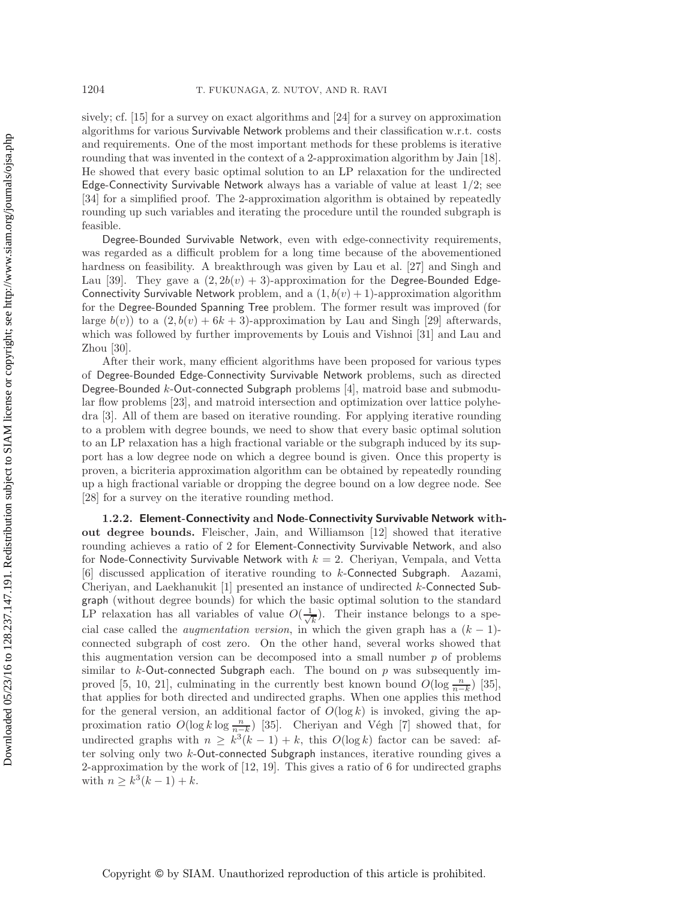sively; cf. [\[15\]](#page-27-0) for a survey on exact algorithms and [\[24\]](#page-27-1) for a survey on approximation algorithms for various Survivable Network problems and their classification w.r.t. costs and requirements. One of the most important methods for these problems is iterative rounding that was invented in the context of a 2-approximation algorithm by Jain [\[18\]](#page-27-2). He showed that every basic optimal solution to an LP relaxation for the undirected Edge-Connectivity Survivable Network always has a variable of value at least  $1/2$ ; see [\[34\]](#page-27-3) for a simplified proof. The 2-approximation algorithm is obtained by repeatedly rounding up such variables and iterating the procedure until the rounded subgraph is feasible.

Degree-Bounded Survivable Network, even with edge-connectivity requirements, was regarded as a difficult problem for a long time because of the abovementioned hardness on feasibility. A breakthrough was given by Lau et al. [\[27\]](#page-27-4) and Singh and Lau [\[39\]](#page-27-5). They gave a  $(2, 2b(v) + 3)$ -approximation for the Degree-Bounded Edge-Connectivity Survivable Network problem, and a  $(1, b(v) + 1)$ -approximation algorithm for the Degree-Bounded Spanning Tree problem. The former result was improved (for large  $b(v)$ ) to a  $(2, b(v) + 6k + 3)$ -approximation by Lau and Singh [\[29\]](#page-27-6) afterwards, which was followed by further improvements by Louis and Vishnoi [\[31\]](#page-27-7) and Lau and Zhou [\[30\]](#page-27-8).

After their work, many efficient algorithms have been proposed for various types of Degree-Bounded Edge-Connectivity Survivable Network problems, such as directed Degree-Bounded k-Out-connected Subgraph problems [\[4\]](#page-26-0), matroid base and submodular flow problems [\[23\]](#page-27-9), and matroid intersection and optimization over lattice polyhedra [\[3\]](#page-26-1). All of them are based on iterative rounding. For applying iterative rounding to a problem with degree bounds, we need to show that every basic optimal solution to an LP relaxation has a high fractional variable or the subgraph induced by its support has a low degree node on which a degree bound is given. Once this property is proven, a bicriteria approximation algorithm can be obtained by repeatedly rounding up a high fractional variable or dropping the degree bound on a low degree node. See [\[28\]](#page-27-10) for a survey on the iterative rounding method.

**1.2.2. Element-Connectivity and Node-Connectivity Survivable Network without degree bounds.** Fleischer, Jain, and Williamson [\[12\]](#page-26-2) showed that iterative rounding achieves a ratio of 2 for Element-Connectivity Survivable Network, and also for Node-Connectivity Survivable Network with  $k = 2$ . Cheriyan, Vempala, and Vetta [\[6\]](#page-26-3) discussed application of iterative rounding to k-Connected Subgraph. Aazami, Cheriyan, and Laekhanukit [\[1\]](#page-26-4) presented an instance of undirected k-Connected Subgraph (without degree bounds) for which the basic optimal solution to the standard LP relaxation has all variables of value  $O(\frac{1}{\sqrt{k}})$ . Their instance belongs to a spe-<br>cial case called the *quamentation version* in which the given graph has a  $(k-1)$ . cial case called the *augmentation version*, in which the given graph has a  $(k - 1)$ connected subgraph of cost zero. On the other hand, several works showed that this augmentation version can be decomposed into a small number  $p$  of problems similar to  $k$ -Out-connected Subgraph each. The bound on  $p$  was subsequently im-proved [\[5,](#page-26-5) [10,](#page-26-6) [21\]](#page-27-11), culminating in the currently best known bound  $O(\log \frac{n}{n-k})$  [\[35\]](#page-27-12), that applies for both directed and undirected graphs. When one applies this method that applies for both directed and undirected graphs. When one applies this method for the general version, an additional factor of  $O(\log k)$  is invoked, giving the approximation ratio  $O(\log k \log \frac{n}{n-k})$  [\[35\]](#page-27-12). Cheriyan and Végh [\[7\]](#page-26-7) showed that, for<br>undirected graphs with  $n > \frac{b^3(k-1)}{k} + k$  this  $O(\log k)$  factor can be saved: of undirected graphs with  $n \geq k^3(k-1) + k$ , this  $O(\log k)$  factor can be saved: after solving only two k-Out-connected Subgraph instances, iterative rounding gives a 2-approximation by the work of [\[12,](#page-26-2) [19\]](#page-27-13). This gives a ratio of 6 for undirected graphs with  $n \geq k^3(k-1) + k$ .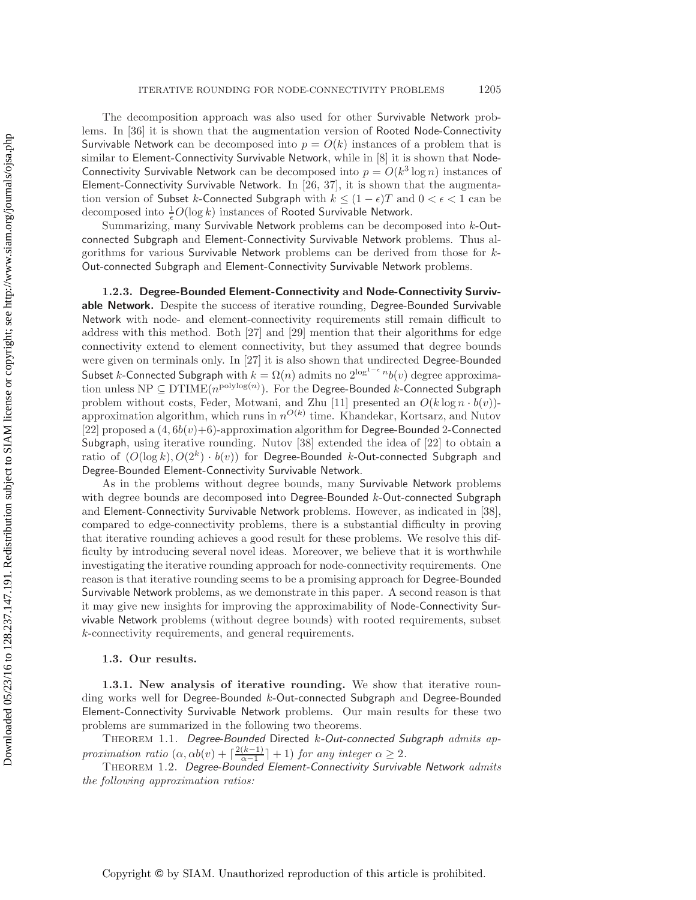The decomposition approach was also used for other Survivable Network problems. In [\[36\]](#page-27-14) it is shown that the augmentation version of Rooted Node-Connectivity Survivable Network can be decomposed into  $p = O(k)$  instances of a problem that is similar to Element-Connectivity Survivable Network, while in [\[8\]](#page-26-8) it is shown that Node-Connectivity Survivable Network can be decomposed into  $p = O(k^3 \log n)$  instances of Element-Connectivity Survivable Network. In [\[26,](#page-27-15) [37\]](#page-27-16), it is shown that the augmentation version of Subset k-Connected Subgraph with  $k \leq (1 - \epsilon)T$  and  $0 < \epsilon < 1$  can be decomposed into  $\frac{1}{\epsilon}O(\log k)$  instances of Rooted Survivable Network.

Summarizing, many Survivable Network problems can be decomposed into k-Outconnected Subgraph and Element-Connectivity Survivable Network problems. Thus algorithms for various Survivable Network problems can be derived from those for k-Out-connected Subgraph and Element-Connectivity Survivable Network problems.

**1.2.3. Degree-Bounded Element-Connectivity and Node-Connectivity Survivable Network.** Despite the success of iterative rounding, Degree-Bounded Survivable Network with node- and element-connectivity requirements still remain difficult to address with this method. Both [\[27\]](#page-27-4) and [\[29\]](#page-27-6) mention that their algorithms for edge connectivity extend to element connectivity, but they assumed that degree bounds were given on terminals only. In [\[27\]](#page-27-4) it is also shown that undirected Degree-Bounded Subset  $k$ -Connected Subgraph with  $k = \Omega(n)$  admits no  $2^{\log^{1-\epsilon} n} b(v)$  degree approximation unless  $\text{NP} \subseteq \text{DTIME}(n^{\text{polylog}(n)})$ . For the Degree-Bounded k-Connected Subgraph problem without costs, Feder, Motwani, and Zhu [\[11\]](#page-26-9) presented an  $O(k \log n \cdot b(v))$ approximation algorithm, which runs in  $n^{O(k)}$  time. Khandekar, Kortsarz, and Nutov [\[22\]](#page-27-17) proposed a  $(4, 6b(v)+6)$ -approximation algorithm for Degree-Bounded 2-Connected Subgraph, using iterative rounding. Nutov [\[38\]](#page-27-18) extended the idea of [\[22\]](#page-27-17) to obtain a ratio of  $(O(\log k), O(2^k) \cdot b(v))$  for Degree-Bounded k-Out-connected Subgraph and Degree-Bounded Element-Connectivity Survivable Network.

As in the problems without degree bounds, many Survivable Network problems with degree bounds are decomposed into Degree-Bounded k-Out-connected Subgraph and Element-Connectivity Survivable Network problems. However, as indicated in [\[38\]](#page-27-18), compared to edge-connectivity problems, there is a substantial difficulty in proving that iterative rounding achieves a good result for these problems. We resolve this difficulty by introducing several novel ideas. Moreover, we believe that it is worthwhile investigating the iterative rounding approach for node-connectivity requirements. One reason is that iterative rounding seems to be a promising approach for Degree-Bounded Survivable Network problems, as we demonstrate in this paper. A second reason is that it may give new insights for improving the approximability of Node-Connectivity Survivable Network problems (without degree bounds) with rooted requirements, subset k-connectivity requirements, and general requirements.

### **1.3. Our results.**

**1.3.1. New analysis of iterative rounding.** We show that iterative rounding works well for Degree-Bounded  $k$ -Out-connected Subgraph and Degree-Bounded Element-Connectivity Survivable Network problems. Our main results for these two problems are summarized in the following two theorems.

<span id="page-3-1"></span>Theorem 1.1. *Degree-Bounded* Directed k*-Out-connected Subgraph admits approximation ratio*  $(\alpha, \alpha b(v) + \frac{2(k-1)}{\alpha-1} + 1)$  *for any integer*  $\alpha \geq 2$ .<br>THEOREM 1.2 Degree-Rounded Flement-Connectivity Survive

<span id="page-3-0"></span>Theorem 1.2. *Degree-Bounded Element-Connectivity Survivable Network admits the following approximation ratios:*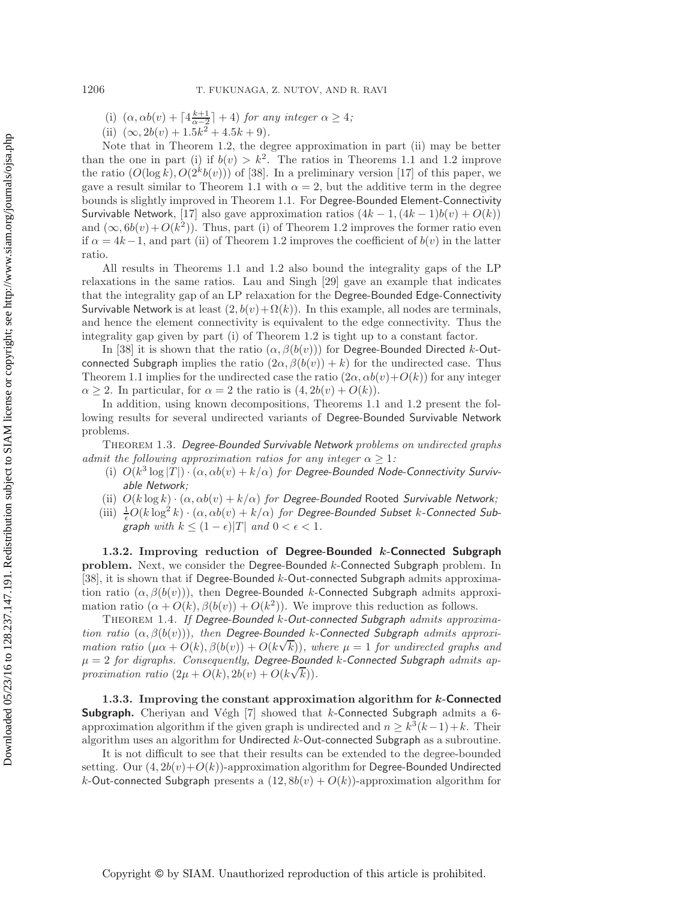- (i)  $(\alpha, \alpha b(v) + \lceil 4\frac{k+1}{\alpha-2} \rceil + 4)$  *for any integer*  $\alpha \geq 4$ *;*<br>(ii)  $(\alpha, 2b(\alpha) + 15k^2 + 45k + 9)$
- (ii)  $(\infty, 2b(v) + 1.5k^2 + 4.5k + 9)$ *.*

Note that in Theorem [1.2,](#page-3-0) the degree approximation in part (ii) may be better than the one in part (i) if  $b(v) > k^2$ . The ratios in Theorems [1.1](#page-3-1) and [1.2](#page-3-0) improve the ratio  $(O(\log k), O(2^k b(v)))$  of [\[38\]](#page-27-18). In a preliminary version [\[17\]](#page-27-19) of this paper, we gave a result similar to Theorem [1.1](#page-3-1) with  $\alpha = 2$ , but the additive term in the degree bounds is slightly improved in Theorem [1.1.](#page-3-1) For Degree-Bounded Element-Connectivity Survivable Network, [\[17\]](#page-27-19) also gave approximation ratios  $(4k - 1, (4k - 1)b(v) + O(k))$ and  $(\infty, 6b(v) + O(k^2))$ . Thus, part (i) of Theorem [1.2](#page-3-0) improves the former ratio even if  $\alpha = 4k-1$ , and part (ii) of Theorem [1.2](#page-3-0) improves the coefficient of  $b(v)$  in the latter ratio.

All results in Theorems [1.1](#page-3-1) and [1.2](#page-3-0) also bound the integrality gaps of the LP relaxations in the same ratios. Lau and Singh [\[29\]](#page-27-6) gave an example that indicates that the integrality gap of an LP relaxation for the Degree-Bounded Edge-Connectivity Survivable Network is at least  $(2, b(v) + \Omega(k))$ . In this example, all nodes are terminals, and hence the element connectivity is equivalent to the edge connectivity. Thus the integrality gap given by part (i) of Theorem [1.2](#page-3-0) is tight up to a constant factor.

In [\[38\]](#page-27-18) it is shown that the ratio  $(\alpha, \beta(b(v)))$  for Degree-Bounded Directed k-Outconnected Subgraph implies the ratio  $(2\alpha, \beta(b(v)) + k)$  for the undirected case. Thus Theorem [1.1](#page-3-1) implies for the undirected case the ratio  $(2\alpha, \alpha b(v)+O(k))$  for any integer  $\alpha \geq 2$ . In particular, for  $\alpha = 2$  the ratio is  $(4, 2b(v) + O(k))$ .

In addition, using known decompositions, Theorems [1.1](#page-3-1) and [1.2](#page-3-0) present the following results for several undirected variants of Degree-Bounded Survivable Network problems.

<span id="page-4-0"></span>Theorem 1.3. *Degree-Bounded Survivable Network problems on undirected graphs admit the following approximation ratios for any integer*  $\alpha > 1$ :

- (i)  $O(k^3 \log |T|) \cdot (\alpha, \alpha b(v) + k/\alpha)$  for Degree-Bounded Node-Connectivity Surviv*able Network;*
- (ii)  $O(k \log k) \cdot (\alpha, \alpha b(v) + k/\alpha)$  *for Degree-Bounded* Rooted *Survivable Network*;
- (iii)  $\frac{1}{\epsilon}O(k \log^2 k) \cdot (\alpha, \alpha b(v) + k/\alpha)$  for Degree-Bounded Subset k-Connected Sub*graph with*  $k \leq (1 - \epsilon)|T|$  *and*  $0 < \epsilon < 1$ *.*

**1.3.2. Improving reduction of Degree-Bounded** *k***-Connected Subgraph problem.** Next, we consider the Degree-Bounded k-Connected Subgraph problem. In [\[38\]](#page-27-18), it is shown that if Degree-Bounded  $k$ -Out-connected Subgraph admits approximation ratio  $(\alpha, \beta(b(v)))$ , then Degree-Bounded k-Connected Subgraph admits approximation ratio  $(\alpha + O(k), \beta(b(v)) + O(k^2))$ . We improve this reduction as follows.

<span id="page-4-1"></span>Theorem 1.4. *If Degree-Bounded* k*-Out-connected Subgraph admits approximation ratio* (α, β(b(v)))*, then Degree-Bounded* k*-Connected Subgraph admits approxi-*√ *mation ratio*  $(\mu \alpha + O(k), \beta(b(v)) + O(k\sqrt{k}))$ *, where*  $\mu = 1$  *for undirected graphs and* μ = 2 *for digraphs. Consequently, Degree-Bounded* k*-Connected Subgraph admits ap-* $\mu = 2$  for aigraphs. Consequently, Degree-Bound<br>proximation ratio  $(2\mu + O(k), 2b(v) + O(k\sqrt{k}))$ .

**1.3.3. Improving the constant approximation algorithm for** *k***-Connected Subgraph.** Cheriyan and Végh [\[7\]](#page-26-7) showed that k-Connected Subgraph admits a 6approximation algorithm if the given graph is undirected and  $n \geq k^3(k-1)+k$ . Their algorithm uses an algorithm for Undirected k-Out-connected Subgraph as a subroutine.

It is not difficult to see that their results can be extended to the degree-bounded setting. Our  $(4, 2b(v) + O(k))$ -approximation algorithm for Degree-Bounded Undirected k-Out-connected Subgraph presents a  $(12, 8b(v) + O(k))$ -approximation algorithm for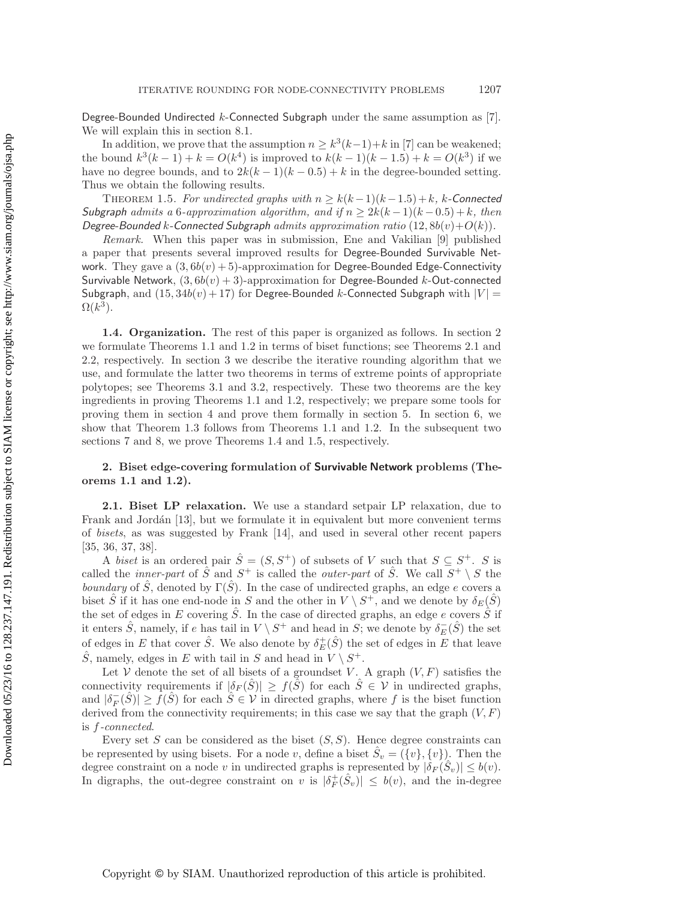Degree-Bounded Undirected  $k$ -Connected Subgraph under the same assumption as [\[7\]](#page-26-7). We will explain this in section [8.1.](#page-23-0)

In addition, we prove that the assumption  $n \geq k^3(k-1)+k$  in [\[7\]](#page-26-7) can be weakened; the bound  $k^3(k-1) + k = O(k^4)$  is improved to  $k(k-1)(k-1.5) + k = O(k^3)$  if we have no degree bounds, and to  $2k(k-1)(k-0.5) + k$  in the degree-bounded setting. Thus we obtain the following results.

<span id="page-5-1"></span>THEOREM 1.5. *For undirected graphs with*  $n \geq k(k-1)(k-1.5) + k$ *, k-Connected Subgraph admits* a 6*-approximation algorithm, and if*  $n \geq 2k(k-1)(k-0.5) + k$ , *then Degree-Bounded* k-Connected Subgraph *admits approximation ratio*  $(12, 8b(v) + O(k))$ *.* 

*Remark.* When this paper was in submission, Ene and Vakilian [\[9\]](#page-26-10) published a paper that presents several improved results for Degree-Bounded Survivable Network. They gave a  $(3, 6b(v) + 5)$ -approximation for Degree-Bounded Edge-Connectivity Survivable Network,  $(3, 6b(v) + 3)$ -approximation for Degree-Bounded k-Out-connected Subgraph, and  $(15, 34b(v) + 17)$  for Degree-Bounded k-Connected Subgraph with  $|V|$  =  $\Omega(k^3)$ .

**1.4. Organization.** The rest of this paper is organized as follows. In section [2](#page-5-0) we formulate Theorems [1.1](#page-3-1) and [1.2](#page-3-0) in terms of biset functions; see Theorems [2.1](#page-6-0) and [2.2,](#page-7-0) respectively. In section [3](#page-7-1) we describe the iterative rounding algorithm that we use, and formulate the latter two theorems in terms of extreme points of appropriate polytopes; see Theorems [3.1](#page-8-0) and [3.2,](#page-8-1) respectively. These two theorems are the key ingredients in proving Theorems [1.1](#page-3-1) and [1.2,](#page-3-0) respectively; we prepare some tools for proving them in section [4](#page-9-0) and prove them formally in section [5.](#page-12-0) In section [6,](#page-18-0) we show that Theorem [1.3](#page-4-0) follows from Theorems [1.1](#page-3-1) and [1.2.](#page-3-0) In the subsequent two sections [7](#page-19-0) and [8,](#page-22-0) we prove Theorems [1.4](#page-4-1) and [1.5,](#page-5-1) respectively.

# <span id="page-5-0"></span>**2. Biset edge-covering formulation of Survivable Network problems (Theorems [1.1](#page-3-1) and [1.2\)](#page-3-0).**

**2.1. Biset LP relaxation.** We use a standard setpair LP relaxation, due to Frank and Jordán [\[13\]](#page-27-20), but we formulate it in equivalent but more convenient terms of *bisets*, as was suggested by Frank [\[14\]](#page-27-21), and used in several other recent papers [\[35,](#page-27-12) [36,](#page-27-14) [37,](#page-27-16) [38\]](#page-27-18).

A *biset* is an ordered pair  $\hat{S} = (S, S^+)$  of subsets of V such that  $S \subseteq S^+$ . S is called the *inner-part* of  $\hat{S}$  and  $S^+$  is called the *outer-part* of  $\hat{S}$ . We call  $S^+ \setminus S$  the *boundary* of  $\hat{S}$ , denoted by  $\Gamma(\hat{S})$ . In the case of undirected graphs, an edge e covers a biset  $\hat{S}$  if it has one end-node in S and the other in  $V \setminus S^+$ , and we denote by  $\delta_E(\hat{S})$ the set of edges in E covering  $\hat{S}$ . In the case of directed graphs, an edge e covers  $\hat{S}$  if it enters  $\hat{S}$ , namely, if e has tail in  $V \setminus S^+$  and head in  $S$ ; we denote by  $\delta_E^-(\hat{S})$  the set of edges in  $E$  that leave of edges in E that cover  $\hat{S}$ . We also denote by  $\delta_E^+(\hat{S})$  the set of edges in E that leave  $\hat{S}$ , namely, edges in E with tail in S and head in  $V \setminus S^+$ .

Let V denote the set of all bisets of a groundset V. A graph  $(V, F)$  satisfies the connectivity requirements if  $|\delta_F(S)| \ge f(S)$  for each  $S \in \mathcal{V}$  in undirected graphs, and  $|\delta_F^-(\hat{S})| \geq \hat{f}(\hat{S})$  for each  $\hat{S} \in \mathcal{V}$  in directed graphs, where f is the biset function derived from the connectivity requirements; in this case we say that the graph  $(V, F)$ derived from the connectivity requirements; in this case we say that the graph  $(V, F)$ is f*-connected*.

Every set S can be considered as the biset  $(S, S)$ . Hence degree constraints can be represented by using bisets. For a node v, define a biset  $S_v = (\{v\}, \{v\})$ . Then the degree constraint on a node v in undirected graphs is represented by  $|\delta_F(S_v)| \leq b(v)$ . In digraphs, the out-degree constraint on v is  $|\delta_F^+(\hat{S}_v)| \leq b(v)$ , and the in-degree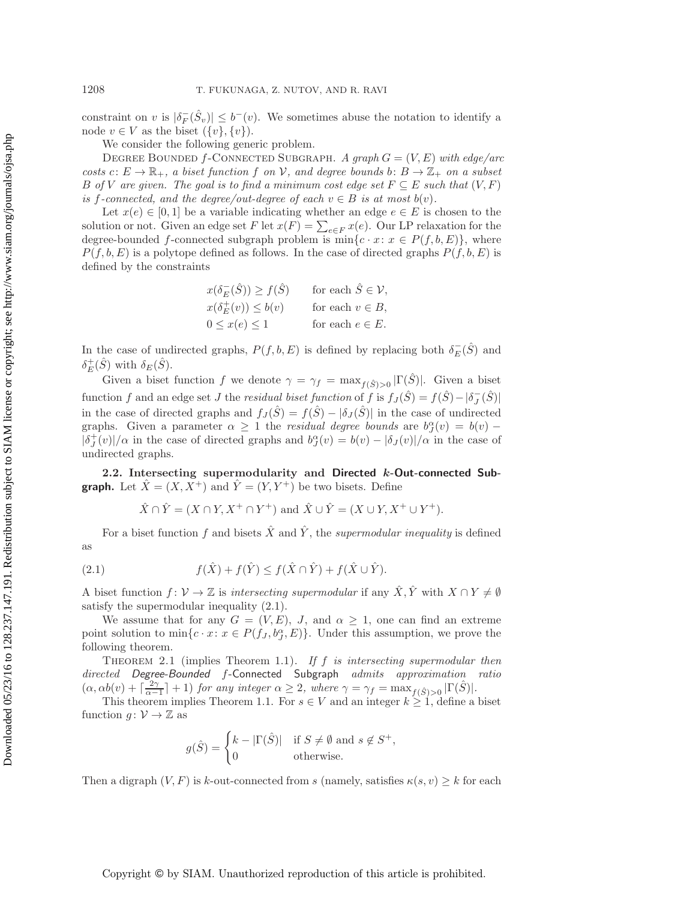constraint on v is  $|\delta_F^-(\hat{S}_v)| \le b^-(v)$ . We sometimes abuse the notation to identify a node  $v \in V$  as the biset  $(f_v)$   $f_v$ ) node  $v \in V$  as the biset  $({v}, {v})$ .

We consider the following generic problem.

Degree Bounded f-Connected Subgraph. *A graph* G = (V,E) *with edge/arc costs*  $c: E \to \mathbb{R}_+$ , a biset function f on V, and degree bounds b:  $B \to \mathbb{Z}_+$  on a subset B of V are given. The goal is to find a minimum cost edge set  $F \subseteq E$  such that  $(V, F)$ *is* f-connected, and the degree/out-degree of each  $v \in B$  *is at most*  $b(v)$ *.* 

Let  $x(e) \in [0,1]$  be a variable indicating whether an edge  $e \in E$  is chosen to the solution or not. Given an edge set F let  $x(F) = \sum_{e \in F} x(e)$ . Our LP relaxation for the degree-bounded f-connected subgraph problem is  $\min_{e \in F} x(e)$ .  $\sum_{e \in F} x(e)$  where degree-bounded f-connected subgraph problem is  $\min\{c \cdot x : x \in P(f, b, E)\}\$ , where  $P(f, b, E)$  is a polytope defined as follows. In the case of directed graphs  $P(f, b, E)$  is defined by the constraints

$$
x(\delta^-_E(\hat{S})) \ge f(\hat{S}) \quad \text{for each } \hat{S} \in \mathcal{V},
$$
  
\n
$$
x(\delta^+_E(v)) \le b(v) \quad \text{for each } v \in B,
$$
  
\n
$$
0 \le x(e) \le 1 \quad \text{for each } e \in E.
$$

In the case of undirected graphs,  $P(f, b, E)$  is defined by replacing both  $\delta_E^-(\hat{S})$  and  $s + (\hat{S})$  with  $\delta_E(\hat{S})$  $\delta_E^+(\hat{S})$  with  $\delta_E(\hat{S})$ .<br>Circu a high-

Given a biset function f we denote  $\gamma = \gamma_f = \max_{f(\hat{S})>0} |\Gamma(\hat{S})|$ . Given a biset function f and an edge set J the *residual biset function* of f is  $f_J(\hat{S}) = f(\hat{S}) - |\delta_J^-(\hat{S})|$ <br>in the case of dinated graphs and  $f(\hat{S}) = f(\hat{S}) - |\delta_J^-(\hat{S})|$  in the case of undirected in the case of directed graphs and  $f_J(\hat{S}) = f(\hat{S}) - |\delta_J(\hat{S})|$  in the case of undirected graphs. Given a parameter  $\alpha \geq 1$  the *residual degree bounds* are  $b^{\alpha}_{J}(v) = b(v) - b(v)$ .  $|\delta_J^+(v)|/\alpha$  in the case of directed graphs and  $\delta_J^{\alpha}(v) = b(v) - |\delta_J(v)|/\alpha$  in the case of undirected graphs undirected graphs.

**2.2. Intersecting supermodularity and Directed** *k***-Out-connected Subgraph.** Let  $\hat{X} = (X, X^+)$  and  $\hat{Y} = (Y, Y^+)$  be two bisets. Define

$$
\hat{X} \cap \hat{Y} = (X \cap Y, X^+ \cap Y^+)
$$
 and  $\hat{X} \cup \hat{Y} = (X \cup Y, X^+ \cup Y^+).$ 

<span id="page-6-1"></span>For a biset function f and bisets  $\hat{X}$  and  $\hat{Y}$ , the *supermodular inequality* is defined as

(2.1) 
$$
f(\hat{X}) + f(\hat{Y}) \le f(\hat{X} \cap \hat{Y}) + f(\hat{X} \cup \hat{Y}).
$$

A biset function  $f: \mathcal{V} \to \mathbb{Z}$  is *intersecting supermodular* if any  $\hat{X}, \hat{Y}$  with  $X \cap Y \neq \emptyset$ satisfy the supermodular inequality [\(2.1\)](#page-6-1).

We assume that for any  $G = (V, E)$ , J, and  $\alpha \geq 1$ , one can find an extreme point solution to  $\min\{c \cdot x : x \in P(f_J, b_J^{\alpha}, E)\}\.$  Under this assumption, we prove the following theorem following theorem.

<span id="page-6-0"></span>Theorem 2.1 (implies Theorem [1.1](#page-3-1)). *If* f *is intersecting supermodular then directed Degree-Bounded* f-Connected Subgraph *admits approximation ratio*  $(\alpha, \alpha b(v) + \lceil \frac{2\gamma}{\alpha - 1} \rceil + 1)$  *for any integer*  $\alpha \ge 2$ *, where*  $\gamma = \gamma_f = \max_{f(\hat{S}) > 0} |\Gamma(\hat{S})|$ *.* This theorem implies Theorem [1.1.](#page-3-1) For  $s \in V$  and an integer  $k \ge 1$ , define a biset

function  $g: \mathcal{V} \to \mathbb{Z}$  as

$$
g(\hat{S}) = \begin{cases} k - |\Gamma(\hat{S})| & \text{if } S \neq \emptyset \text{ and } s \notin S^+, \\ 0 & \text{otherwise.} \end{cases}
$$

Then a digraph  $(V, F)$  is k-out-connected from s (namely, satisfies  $\kappa(s, v) \geq k$  for each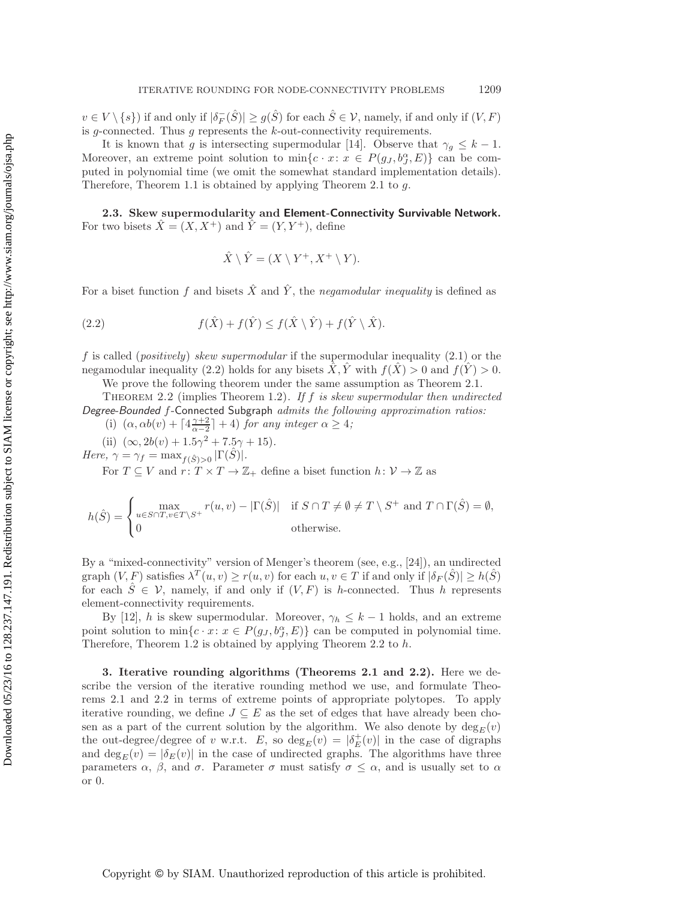$v \in V \setminus \{s\}$  if and only if  $|\delta_F^-(\hat{S})| \ge g(\hat{S})$  for each  $\hat{S} \in V$ , namely, if and only if  $(V, F)$ <br>is a connected. Thus a represents the k out connectivity requirements is g-connected. Thus  $g$  represents the  $k$ -out-connectivity requirements.

It is known that g is intersecting supermodular [\[14\]](#page-27-21). Observe that  $\gamma_g \leq k-1$ . Moreover, an extreme point solution to  $\min\{c \cdot x : x \in P(g_J, b_J^{\alpha}, E)\}\)$  can be com-<br>puted in polynomial time (we omit the somewhat standard implementation details) puted in polynomial time (we omit the somewhat standard implementation details). Therefore, Theorem [1.1](#page-3-1) is obtained by applying Theorem [2.1](#page-6-0) to  $q$ .

**2.3. Skew supermodularity and Element-Connectivity Survivable Network.** For two bisets  $\hat{X} = (X, X^+)$  and  $\hat{Y} = (Y, Y^+)$ , define

<span id="page-7-2"></span>
$$
\hat{X} \setminus \hat{Y} = (X \setminus Y^+, X^+ \setminus Y).
$$

For a biset function f and bisets  $\hat{X}$  and  $\hat{Y}$ , the *negamodular inequality* is defined as

(2.2) 
$$
f(\hat{X}) + f(\hat{Y}) \le f(\hat{X} \setminus \hat{Y}) + f(\hat{Y} \setminus \hat{X}).
$$

f is called (*positively*) *skew supermodular* if the supermodular inequality [\(2.1\)](#page-6-1) or the negamodular inequality [\(2.2\)](#page-7-2) holds for any bisets  $\hat{X}, \hat{Y}$  with  $f(\hat{X}) > 0$  and  $f(\hat{Y}) > 0$ .

We prove the following theorem under the same assumption as Theorem [2.1.](#page-6-0)

<span id="page-7-0"></span>Theorem 2.2 (implies Theorem [1.2](#page-3-0)). *If* f *is skew supermodular then undirected Degree-Bounded* f-Connected Subgraph *admits the following approximation ratios:*

- (i)  $(\alpha, \alpha b(v) + \lceil 4\frac{\gamma+2}{\alpha-2} \rceil + 4)$  *for any integer*  $\alpha \geq 4$ *;*<br>(ii)  $(0, \alpha, b(v)) + 1 \leq 2$
- (ii)  $(\infty, 2b(v)+1.5\gamma^2 + 7.5\gamma + 15)$ *.*

*Here,*  $\gamma = \gamma_f = \max_{f(\hat{S}) > 0} |\Gamma(\hat{S})|$ *.* 

For  $T \subseteq V$  and  $r: T \times T \to \mathbb{Z}_+$  define a biset function  $h: V \to \mathbb{Z}$  as

$$
h(\hat{S}) = \begin{cases} \max_{u \in S \cap T, v \in T \setminus S^+} r(u, v) - |\Gamma(\hat{S})| & \text{if } S \cap T \neq \emptyset \neq T \setminus S^+ \text{ and } T \cap \Gamma(\hat{S}) = \emptyset, \\ 0 & \text{otherwise.} \end{cases}
$$

By a "mixed-connectivity" version of Menger's theorem (see, e.g., [\[24\]](#page-27-1)), an undirected graph  $(V, F)$  satisfies  $\lambda^T(u, v) \geq r(u, v)$  for each  $u, v \in T$  if and only if  $|\delta_F(\hat{S})| \geq h(\hat{S})$ for each  $\hat{S} \in \mathcal{V}$ , namely, if and only if  $(V, F)$  is h-connected. Thus h represents element-connectivity requirements.

By [\[12\]](#page-26-2), h is skew supermodular. Moreover,  $\gamma_h \leq k-1$  holds, and an extreme point solution to  $\min\{c \cdot x : x \in P(g_J, b_J^{\alpha}, E)\}$  can be computed in polynomial time.<br>Therefore Theorem 1.2 is obtained by applying Theorem 2.2 to b Therefore, Theorem [1.2](#page-3-0) is obtained by applying Theorem [2.2](#page-7-0) to  $h$ .

<span id="page-7-1"></span>**3. Iterative rounding algorithms (Theorems [2.1](#page-6-0) and [2.2\)](#page-7-0).** Here we describe the version of the iterative rounding method we use, and formulate Theorems [2.1](#page-6-0) and [2.2](#page-7-0) in terms of extreme points of appropriate polytopes. To apply iterative rounding, we define  $J \subseteq E$  as the set of edges that have already been chosen as a part of the current solution by the algorithm. We also denote by  $\deg_E(v)$ <br>the out degree  $\deg_U(v)$  with  $F$  so deg  $(v) = |\delta^+(v)|$  in the case of digraphs the out-degree/degree of v w.r.t. E, so  $\deg_E(v) = |\delta_E^+(v)|$  in the case of digraphs<br>and deg  $(v) = |\delta_E(v)|$  in the case of undirected graphs. The algorithms have three and deg<sub>E</sub>(v) =  $|\delta_E(v)|$  in the case of undirected graphs. The algorithms have three<br>parameters  $\alpha$ ,  $\beta$ , and  $\sigma$ . Parameter  $\sigma$  must satisfy  $\sigma \leq \alpha$ , and is usually set to  $\alpha$ parameters  $\alpha$ ,  $\beta$ , and  $\sigma$ . Parameter  $\sigma$  must satisfy  $\sigma \leq \alpha$ , and is usually set to  $\alpha$ or 0.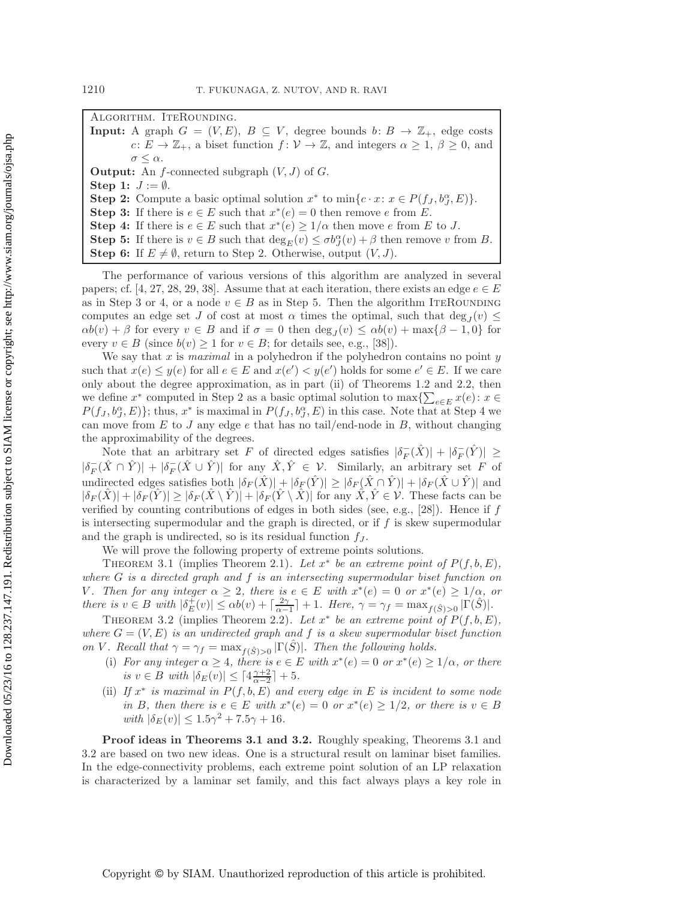Algorithm. IteRounding.

**Input:** A graph  $G = (V, E)$ ,  $B \subseteq V$ , degree bounds  $b: B \to \mathbb{Z}_+$ , edge costs  $c: E \to \mathbb{Z}_+$ , a biset function  $f: V \to \mathbb{Z}$ , and integers  $\alpha \geq 1, \beta \geq 0$ , and  $\sigma \leq \alpha$ . **Output:** An  $f$ -connected subgraph  $(V, J)$  of  $G$ . **Step 1:**  $J := \emptyset$ . **Step 2:** Compute a basic optimal solution  $x^*$  to  $\min\{c \cdot x : x \in P(f_J, b_J^{\alpha}, E)\}.$ <br>**Step 3:** If there is  $e \in E$  such that  $x^*(e) = 0$  then remove e from  $E$ **Step 3:** If there is  $e \in E$  such that  $x^*(e) = 0$  then remove e from E. **Step 4:** If there is  $e \in E$  such that  $x^*(e) \geq 1/\alpha$  then move e from E to J. **Step 5:** If there is  $v \in B$  such that  $\deg_E(v) \leq \sigma b^{\alpha}_{J}(v) + \beta$  then remove v from B.<br>Step 6: If  $E \neq \emptyset$  return to Step 2. Otherwise output  $(V, I)$ 

**Step 6:** If  $E \neq \emptyset$ , return to Step 2. Otherwise, output  $(V, J)$ .

The performance of various versions of this algorithm are analyzed in several papers; cf. [\[4,](#page-26-0) [27,](#page-27-4) [28,](#page-27-10) [29,](#page-27-6) [38\]](#page-27-18). Assume that at each iteration, there exists an edge  $e \in E$ as in Step 3 or 4, or a node  $v \in B$  as in Step 5. Then the algorithm ITEROUNDING computes an edge set J of cost at most  $\alpha$  times the optimal, such that  $\deg_J(v) \leq$ <br> $\alpha b(v) + \beta$  for every  $v \in B$  and if  $\sigma = 0$  then deg  $(v) \leq \alpha b(v) + \max\{\beta - 1, 0\}$  for  $\alpha b(v) + \beta$  for every  $v \in B$  and if  $\sigma = 0$  then  $\deg_{J}(v) \leq \alpha b(v) + \max\{\beta - 1, 0\}$  for every  $v \in B$  (since  $b(v) \geq 1$  for  $v \in B$ ; for details see, e.g., [\[38\]](#page-27-18)).

We say that  $x$  is *maximal* in a polyhedron if the polyhedron contains no point  $y$ such that  $x(e) \leq y(e)$  for all  $e \in E$  and  $x(e') < y(e')$  holds for some  $e' \in E$ . If we care only about the degree approximation, as in part (ii) of Theorems [1.2](#page-3-0) and [2.2,](#page-7-0) then we define  $x^*$  computed in Step 2 as a basic optimal solution to  $\max\{\sum_{e\in E} x(e) : x \in$ <br> $P(f, e^{\alpha} E)\}\)$  thus  $x^*$  is maximal in  $P(f, e^{\alpha} E)$  in this case. Note that at Step 4 we  $P(f_J, b_J^{\alpha}, E)$ ; thus,  $x^*$  is maximal in  $P(f_J, b_J^{\alpha}, E)$  in this case. Note that at Step 4 we<br>can move from E to Lany edge e that has no tail/end-pode in B, without changing can move from  $E$  to  $J$  any edge  $e$  that has no tail/end-node in  $B$ , without changing the approximability of the degrees.

Note that an arbitrary set F of directed edges satisfies  $|\delta_F^-(\hat{X})| + |\delta_F^-(\hat{Y})| \ge \hat{X} \cap \hat{X}$  $|\delta_F^-(\hat{X} \cap \hat{Y})| + |\delta_F^-(\hat{X} \cup \hat{Y})|$  for any  $\hat{X}, \hat{Y} \in \mathcal{V}$ . Similarly, an arbitrary set F of undirected administration beth is  $(\hat{X}) \cup \{S, (\hat{X})\} \cup \{S, (\hat{X} \cap \hat{Y})\}$  and undirected edges satisfies both  $|\delta_F(\hat{X})| + |\delta_F(\hat{Y})| > |\delta_F(\hat{X} \cap \hat{Y})| + |\delta_F(\hat{X} \cup \hat{Y})|$  and  $|\delta_F(\hat{X})| + |\delta_F(\hat{Y})| \geq |\delta_F(\hat{X} \setminus \hat{Y})| + |\delta_F(\hat{Y} \setminus \hat{X})|$  for any  $\hat{X}, \hat{Y} \in \mathcal{V}$ . These facts can be verified by counting contributions of edges in both sides (see, e.g., [\[28\]](#page-27-10)). Hence if  $f$ is intersecting supermodular and the graph is directed, or if  $f$  is skew supermodular and the graph is undirected, so is its residual function  $f_J$ .

We will prove the following property of extreme points solutions.

<span id="page-8-0"></span>THEOREM 3.1 (implies Theorem [2.1](#page-6-0)). Let  $x^*$  be an extreme point of  $P(f, b, E)$ , *where* G *is a directed graph and* f *is an intersecting supermodular biset function on V.* Then for any integer  $\alpha \geq 2$ , there is  $e \in E$  with  $x^*(e) = 0$  or  $x^*(e) \geq 1/\alpha$ , or *there is*  $v \in B$  *with*  $|\delta_E^{\perp}(v)| \le \alpha b(v) + \left[\frac{2\gamma}{\alpha-1}\right] + 1$ *. Here,*  $\gamma = \gamma_f = \max_{f(\hat{S}) > 0} |\Gamma(\hat{S})|$ *.*<br>THEOREM 3.3 (implies Theorem 3.3) Let  $x^*$  be an extreme noint of  $B(f, b, E)$ 

<span id="page-8-1"></span>THEOREM 3.2 (implies Theorem [2.2](#page-7-0)). Let  $x^*$  be an extreme point of  $P(f, b, E)$ , *where*  $G = (V, E)$  *is an undirected graph and* f *is a skew supermodular biset function on V. Recall that*  $\gamma = \gamma_f = \max_{f(\hat{S})>0} |\Gamma(S)|$ *. Then the following holds.* 

- (i) *For any integer*  $\alpha \geq 4$ *, there is*  $e \in E$  *with*  $x^*(e) = 0$  *or*  $x^*(e) \geq 1/\alpha$ *, or there is*  $v \in B$  *with*  $|\delta_E(v)| \leq \lceil 4\frac{\gamma+2}{\alpha-2} \rceil + 5$ .
- (ii) *If* x<sup>∗</sup> *is maximal in* P(f, b, E) *and every edge in* E *is incident to some node in* B, then there is  $e \in E$  with  $x^*(e) = 0$  or  $x^*(e) \geq 1/2$ , or there is  $v \in B$ *with*  $|\delta_E(v)| \leq 1.5\gamma^2 + 7.5\gamma + 16$ *.*

**Proof ideas in Theorems [3.1](#page-8-0) and [3.2.](#page-8-1)** Roughly speaking, Theorems [3.1](#page-8-0) and [3.2](#page-8-1) are based on two new ideas. One is a structural result on laminar biset families. In the edge-connectivity problems, each extreme point solution of an LP relaxation is characterized by a laminar set family, and this fact always plays a key role in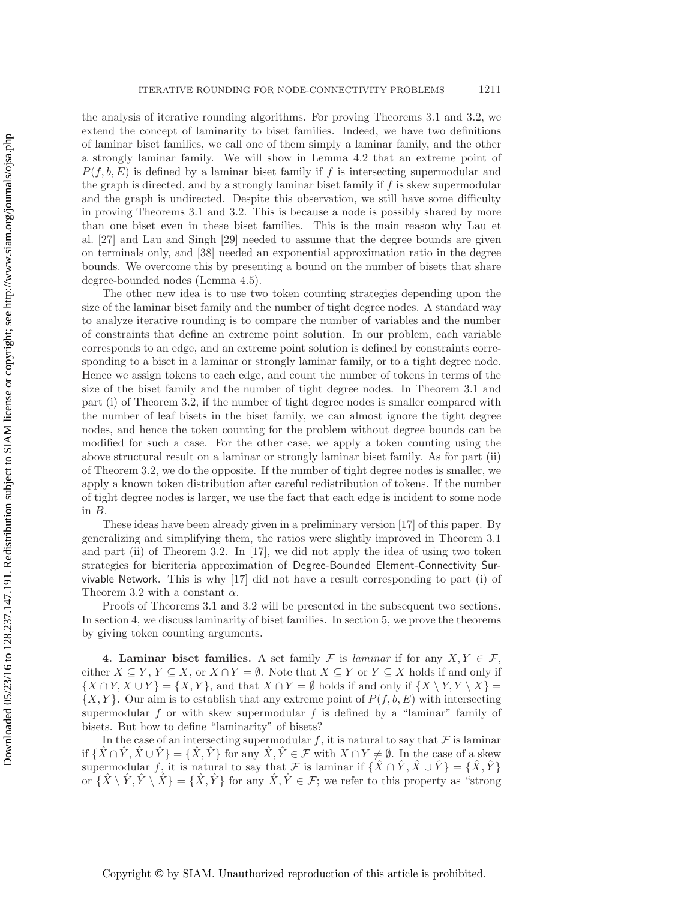the analysis of iterative rounding algorithms. For proving Theorems [3.1](#page-8-0) and [3.2,](#page-8-1) we extend the concept of laminarity to biset families. Indeed, we have two definitions of laminar biset families, we call one of them simply a laminar family, and the other a strongly laminar family. We will show in Lemma [4.2](#page-10-0) that an extreme point of  $P(f, b, E)$  is defined by a laminar biset family if f is intersecting supermodular and the graph is directed, and by a strongly laminar biset family if  $f$  is skew supermodular and the graph is undirected. Despite this observation, we still have some difficulty in proving Theorems [3.1](#page-8-0) and [3.2.](#page-8-1) This is because a node is possibly shared by more than one biset even in these biset families. This is the main reason why Lau et al. [\[27\]](#page-27-4) and Lau and Singh [\[29\]](#page-27-6) needed to assume that the degree bounds are given on terminals only, and [\[38\]](#page-27-18) needed an exponential approximation ratio in the degree bounds. We overcome this by presenting a bound on the number of bisets that share degree-bounded nodes (Lemma [4.5\)](#page-11-0).

The other new idea is to use two token counting strategies depending upon the size of the laminar biset family and the number of tight degree nodes. A standard way to analyze iterative rounding is to compare the number of variables and the number of constraints that define an extreme point solution. In our problem, each variable corresponds to an edge, and an extreme point solution is defined by constraints corresponding to a biset in a laminar or strongly laminar family, or to a tight degree node. Hence we assign tokens to each edge, and count the number of tokens in terms of the size of the biset family and the number of tight degree nodes. In Theorem [3.1](#page-8-0) and part (i) of Theorem [3.2,](#page-8-1) if the number of tight degree nodes is smaller compared with the number of leaf bisets in the biset family, we can almost ignore the tight degree nodes, and hence the token counting for the problem without degree bounds can be modified for such a case. For the other case, we apply a token counting using the above structural result on a laminar or strongly laminar biset family. As for part (ii) of Theorem [3.2,](#page-8-1) we do the opposite. If the number of tight degree nodes is smaller, we apply a known token distribution after careful redistribution of tokens. If the number of tight degree nodes is larger, we use the fact that each edge is incident to some node in B.

These ideas have been already given in a preliminary version [\[17\]](#page-27-19) of this paper. By generalizing and simplifying them, the ratios were slightly improved in Theorem [3.1](#page-8-0) and part (ii) of Theorem [3.2.](#page-8-1) In [\[17\]](#page-27-19), we did not apply the idea of using two token strategies for bicriteria approximation of Degree-Bounded Element-Connectivity Survivable Network. This is why [\[17\]](#page-27-19) did not have a result corresponding to part (i) of Theorem [3.2](#page-8-1) with a constant  $\alpha$ .

Proofs of Theorems [3.1](#page-8-0) and [3.2](#page-8-1) will be presented in the subsequent two sections. In section [4,](#page-9-0) we discuss laminarity of biset families. In section [5,](#page-12-0) we prove the theorems by giving token counting arguments.

<span id="page-9-0"></span>**4. Laminar biset families.** A set family F is *laminar* if for any  $X, Y \in \mathcal{F}$ , either  $X \subseteq Y, Y \subseteq X$ , or  $X \cap Y = \emptyset$ . Note that  $X \subseteq Y$  or  $Y \subseteq X$  holds if and only if  $\{X \cap Y, X \cup Y\} = \{X, Y\}$ , and that  $X \cap Y = \emptyset$  holds if and only if  $\{X \setminus Y, Y \setminus X\} =$  $\{X, Y\}$ . Our aim is to establish that any extreme point of  $P(f, b, E)$  with intersecting supermodular  $f$  or with skew supermodular  $f$  is defined by a "laminar" family of bisets. But how to define "laminarity" of bisets?

In the case of an intersecting supermodular f, it is natural to say that  $\mathcal F$  is laminar if  $\{\hat{X} \cap \hat{Y}, \hat{X} \cup \hat{Y}\} = \{\hat{X}, \hat{Y}\}\$ for any  $\hat{X}, \hat{Y} \in \mathcal{F}$  with  $X \cap Y \neq \emptyset$ . In the case of a skew supermodular f, it is natural to say that F is laminar if  $\{\hat{X} \cap \hat{Y}, \hat{X} \cup \hat{Y}\} = \{\hat{X}, \hat{Y}\}$ or  $\{\hat{X}\setminus \hat{Y}, \hat{Y}\setminus \hat{X}\} = \{\hat{X}, \hat{Y}\}\$  for any  $\hat{X}, \hat{Y} \in \mathcal{F}$ ; we refer to this property as "strong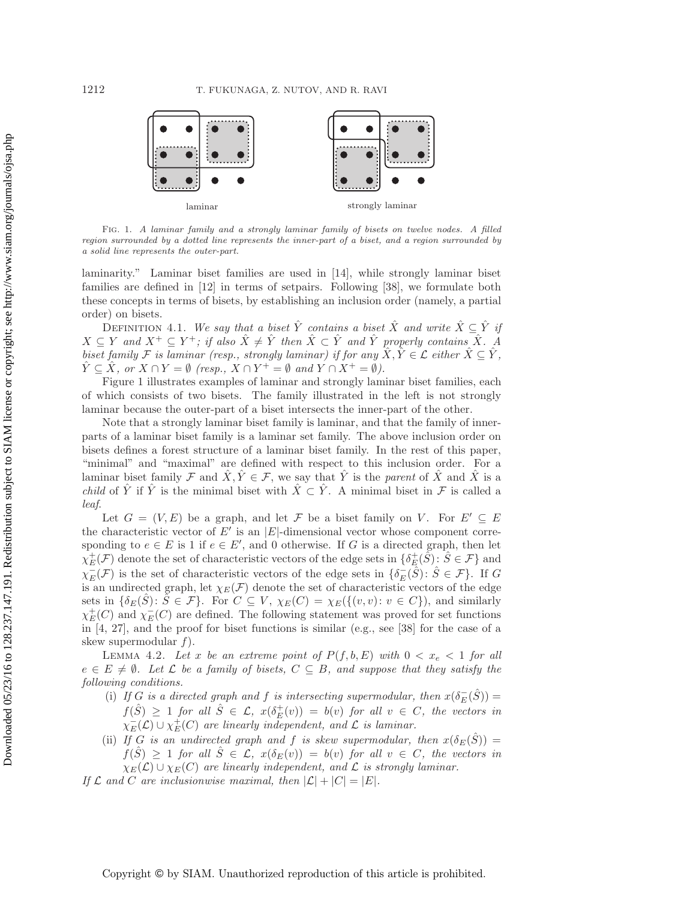

<span id="page-10-1"></span>Fig. 1. *A laminar family and a strongly laminar family of bisets on twelve nodes. A filled region surrounded by a dotted line represents the inner-part of a biset, and a region surrounded by a solid line represents the outer-part.*

laminarity." Laminar biset families are used in [\[14\]](#page-27-21), while strongly laminar biset families are defined in [\[12\]](#page-26-2) in terms of setpairs. Following [\[38\]](#page-27-18), we formulate both these concepts in terms of bisets, by establishing an inclusion order (namely, a partial order) on bisets.

DEFINITION 4.1. *We say that a biset*  $\hat{Y}$  *contains a biset*  $\hat{X}$  *and write*  $\hat{X} \subseteq \hat{Y}$  *if*  $X \subseteq Y$  and  $X^+ \subseteq Y^+$ ; if also  $\hat{X} \neq \hat{Y}$  then  $\hat{X} \subset \hat{Y}$  and  $\hat{Y}$  properly contains  $\hat{X}$ . A *biset family*  $\mathcal{F}$  *is laminar (resp., strongly laminar) if for any*  $\hat{X}, \hat{Y} \in \mathcal{L}$  *either*  $\hat{X} \subseteq \hat{Y}$ ,  $\hat{Y} \subseteq \hat{X}$ , or  $X \cap Y = \emptyset$  (resp.,  $X \cap Y^+ = \emptyset$  and  $Y \cap X^+ = \emptyset$ ).

Figure [1](#page-10-1) illustrates examples of laminar and strongly laminar biset families, each of which consists of two bisets. The family illustrated in the left is not strongly laminar because the outer-part of a biset intersects the inner-part of the other.

Note that a strongly laminar biset family is laminar, and that the family of innerparts of a laminar biset family is a laminar set family. The above inclusion order on bisets defines a forest structure of a laminar biset family. In the rest of this paper, "minimal" and "maximal" are defined with respect to this inclusion order. For a laminar biset family F and  $\hat{X}, \hat{Y} \in \mathcal{F}$ , we say that  $\hat{Y}$  is the *parent* of  $\hat{X}$  and  $\hat{X}$  is a *child* of  $\hat{Y}$  if  $\hat{Y}$  is the minimal biset with  $\hat{X} \subset \hat{Y}$ . A minimal biset in  $\mathcal F$  is called a *leaf*.

Let  $G = (V, E)$  be a graph, and let F be a biset family on V. For  $E' \subseteq E$ the characteristic vector of  $E'$  is an  $|E|$ -dimensional vector whose component corresponding to  $e \in E$  is 1 if  $e \in E'$ , and 0 otherwise. If G is a directed graph, then let  $\chi^+_E(\mathcal{F})$  denote the set of characteristic vectors of the edge sets in  $\{\delta^+_E(\tilde{S}) : \tilde{S} \in \mathcal{F}\}\$  and  $\chi^+_E(\mathcal{F})$  is the set of characteristic vectors of the edge sets in  $\{\delta^-(\hat{S}) : \tilde{S} \in \mathcal{F}\}\$  $\chi_{E}^{-}(\mathcal{F})$  is the set of characteristic vectors of the edge sets in  $\{\delta_{E}^{-}(\hat{S}) : \hat{S} \in \mathcal{F}\}\.$  If G<br>is an undirected graph, let  $\chi_{E}(\mathcal{F})$  denote the set of characteristic vectors of the edge is an undirected graph, let  $\chi_E(\mathcal{F})$  denote the set of characteristic vectors of the edge sets in  $\{\delta_E(\hat{S})\colon \hat{S} \in \mathcal{F}\}\$ . For  $C \subseteq V$ ,  $\chi_E(C) = \chi_E(\{(v, v): v \in C\})$ , and similarly  $\chi^+_E(C)$  and  $\chi^-_E(C)$  are defined. The following statement was proved for set functions<br>in [4, 27], and the proof for biset functions is similar (e.g., see [38] for the case of a in [\[4,](#page-26-0) [27\]](#page-27-4), and the proof for biset functions is similar (e.g., see [\[38\]](#page-27-18) for the case of a skew supermodular  $f$ ).

<span id="page-10-0"></span>LEMMA 4.2. Let x be an extreme point of  $P(f, b, E)$  with  $0 < x_e < 1$  for all  $e \in E \neq \emptyset$ . Let  $\mathcal L$  be a family of bisets,  $C \subseteq B$ , and suppose that they satisfy the *following conditions.*

- (i) *If* G is a directed graph and f is intersecting supermodular, then  $x(\delta_E^-(\hat{S})) =$ <br> $f(\hat{S}) > 1$  for all  $\hat{S} \subseteq \mathcal{S}$ ,  $g(\hat{S}^+(s)) = h(s)$  for all  $y \in \mathcal{S}$ , the vectors in  $f(\hat{S}) \geq 1$  *for all*  $\hat{S} \in \mathcal{L}$ ,  $x(\delta_E^+(v)) = b(v)$  *for all*  $v \in C$ *, the vectors in*<br> $\chi^-(C) \cup \chi^+(C)$  are linearly independent, and  $C$  is laminar  $\chi_{E}^{-}(\mathcal{L}) \cup \chi_{E}^{+}(C)$  are linearly independent, and  $\mathcal{L}$  is laminar.<br>If  $C$  is an undirected graph and f is above everywordeler
- (ii) *If* G is an undirected graph and f is skew supermodular, then  $x(\delta_E(\hat{S})) =$  $f(S) \geq 1$  *for all*  $\hat{S} \in \mathcal{L}$ ,  $x(\delta_E(v)) = b(v)$  *for all*  $v \in C$ *, the vectors in*  $\chi_E(\mathcal{L}) \cup \chi_E(C)$  are linearly independent, and  $\mathcal L$  is strongly laminar.
- *If*  $\mathcal L$  *and*  $C$  *are inclusionwise maximal, then*  $|\mathcal L| + |C| = |E|$ *.*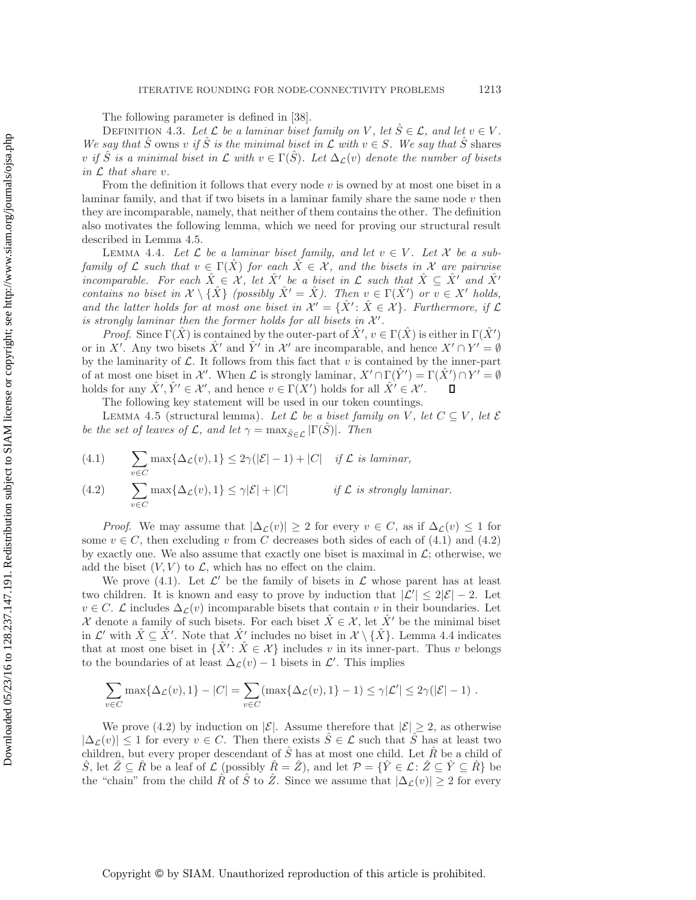The following parameter is defined in [\[38\]](#page-27-18).

DEFINITION 4.3. Let  $\mathcal{L}$  be a laminar biset family on V, let  $\hat{S} \in \mathcal{L}$ , and let  $v \in V$ . *We say that*  $\hat{S}$  owns v *if*  $\hat{S}$  *is the minimal biset in*  $\mathcal{L}$  *with*  $v \in S$ *. We say that*  $\hat{S}$  shares v *if* S is a minimal biset in L with  $v \in \Gamma(S)$ . Let  $\Delta_{\mathcal{L}}(v)$  denote the number of bisets *in* L *that share* v*.*

From the definition it follows that every node  $v$  is owned by at most one biset in a laminar family, and that if two bisets in a laminar family share the same node  $v$  then they are incomparable, namely, that neither of them contains the other. The definition also motivates the following lemma, which we need for proving our structural result described in Lemma [4.5.](#page-11-0)

<span id="page-11-2"></span>LEMMA 4.4. Let  $\mathcal L$  be a laminar biset family, and let  $v \in V$ . Let  $\mathcal X$  be a sub*family of*  $\mathcal L$  *such that*  $v \in \Gamma(\hat X)$  *for each*  $\hat X \in \mathcal X$ *, and the bisets in*  $\mathcal X$  *are pairwise incomparable. For each*  $\hat{X} \in \mathcal{X}$ , let  $\hat{X}$ <sup>*'*</sup> be a biset in  $\mathcal{L}$  such that  $\hat{X} \subseteq \hat{X}$ <sup>*'*</sup> and  $\hat{X}$ <sup>'</sup> *contains no biset in*  $\mathcal{X} \setminus {\hat{X}}$  *(possibly*  $\hat{X}' = \hat{X}$ *). Then*  $v \in \Gamma(\hat{X}')$  *or*  $v \in X'$  *holds, and the latter holds for at most one biset in*  $\mathcal{X}' = {\hat{X}' : \hat{X} \in \mathcal{X}}$ *. Furthermore, if* L *is strongly laminar then the former holds for all bisets in*  $X'$ .

*Proof.* Since  $\Gamma(\hat{X})$  is contained by the outer-part of  $\hat{X}'$ ,  $v \in \Gamma(\hat{X})$  is either in  $\Gamma(\hat{X}')$ or in X'. Any two bisets  $\hat{X}'$  and  $\hat{Y}'$  in X' are incomparable, and hence  $X' \cap Y' = \emptyset$ by the laminarity of  $\mathcal{L}$ . It follows from this fact that  $v$  is contained by the inner-part of at most one biset in X'. When L is strongly laminar,  $X' \cap \Gamma(\hat{Y}') = \Gamma(\hat{X}') \cap Y' = \emptyset$ holds for any  $\hat{X}', \hat{Y}' \in \mathcal{X}'$ , and hence  $v \in \Gamma(X')$  holds for all  $\hat{X}' \in \mathcal{X}'$ . о

The following key statement will be used in our token countings.

<span id="page-11-0"></span>LEMMA 4.5 (structural lemma). Let  $\mathcal L$  be a biset family on V, let  $C \subseteq V$ , let  $\mathcal E$ *be the set of leaves of*  $\mathcal{L}$ *, and let*  $\gamma = \max_{\hat{S} \in \mathcal{L}} |\Gamma(\hat{S})|$ *. Then* 

<span id="page-11-1"></span>(4.1) 
$$
\sum_{v \in C} \max\{\Delta_{\mathcal{L}}(v), 1\} \leq 2\gamma(|\mathcal{E}| - 1) + |C| \quad \text{if } \mathcal{L} \text{ is laminar,}
$$

(4.2) 
$$
\sum_{v \in C} \max\{\Delta_{\mathcal{L}}(v), 1\} \leq \gamma |\mathcal{E}| + |C| \qquad \text{if } \mathcal{L} \text{ is strongly laminar.}
$$

*Proof.* We may assume that  $|\Delta_{\mathcal{L}}(v)| \geq 2$  for every  $v \in C$ , as if  $\Delta_{\mathcal{L}}(v) \leq 1$  for some  $v \in C$ , then excluding v from C decreases both sides of each of [\(4.1\)](#page-11-1) and [\(4.2\)](#page-11-1) by exactly one. We also assume that exactly one biset is maximal in  $\mathcal{L}$ ; otherwise, we add the biset  $(V, V)$  to  $\mathcal{L}$ , which has no effect on the claim.

We prove [\(4.1\)](#page-11-1). Let  $\mathcal{L}'$  be the family of bisets in  $\mathcal{L}$  whose parent has at least two children. It is known and easy to prove by induction that  $|\mathcal{L}'| \leq 2|\mathcal{E}| - 2$ . Let  $v \in C$ . L includes  $\Delta c(v)$  incomparable bisets that contain v in their boundaries. Let X denote a family of such bisets. For each biset  $\dot{X} \in \mathcal{X}$ , let  $\dot{X}'$  be the minimal biset in  $\mathcal{L}'$  with  $\hat{X} \subseteq \hat{X}'$ . Note that  $\hat{X}'$  includes no biset in  $\mathcal{X} \setminus {\hat{X}}$ . Lemma [4.4](#page-11-2) indicates that at most one biset in  $\{\hat{X}' : \hat{X} \in \mathcal{X}\}\)$  includes v in its inner-part. Thus v belongs to the boundaries of at least  $\Delta_{\mathcal{L}}(v) - 1$  bisets in  $\mathcal{L}'$ . This implies

$$
\sum_{v \in C} \max\{\Delta_{\mathcal{L}}(v), 1\} - |C| = \sum_{v \in C} (\max\{\Delta_{\mathcal{L}}(v), 1\} - 1) \le \gamma |\mathcal{L}'| \le 2\gamma(|\mathcal{E}| - 1).
$$

We prove [\(4.2\)](#page-11-1) by induction on  $|\mathcal{E}|$ . Assume therefore that  $|\mathcal{E}| \geq 2$ , as otherwise  $|\Delta_{\mathcal{L}}(v)| \leq 1$  for every  $v \in C$ . Then there exists  $S \in \mathcal{L}$  such that S has at least two children, but every proper descendant of  $S$  has at most one child. Let  $\overline{R}$  be a child of S let  $\hat{Z} \subseteq \hat{R}$  be a leaf of  $\mathcal{L}$  (possibly  $\hat{R} = \hat{Z}$ ), and let  $\mathcal{P} = {\hat{Y} \in \mathcal{L} : \hat{Z} \subseteq \hat{Y} \subseteq \hat{R}}$  be the "chain" from the child  $\hat{R}$  of  $\hat{S}$  to  $\hat{Z}$ . Since we assume that  $|\Delta_{\mathcal{L}}(v)| \geq 2$  for every

Copyright © by SIAM. Unauthorized reproduction of this article is prohibited.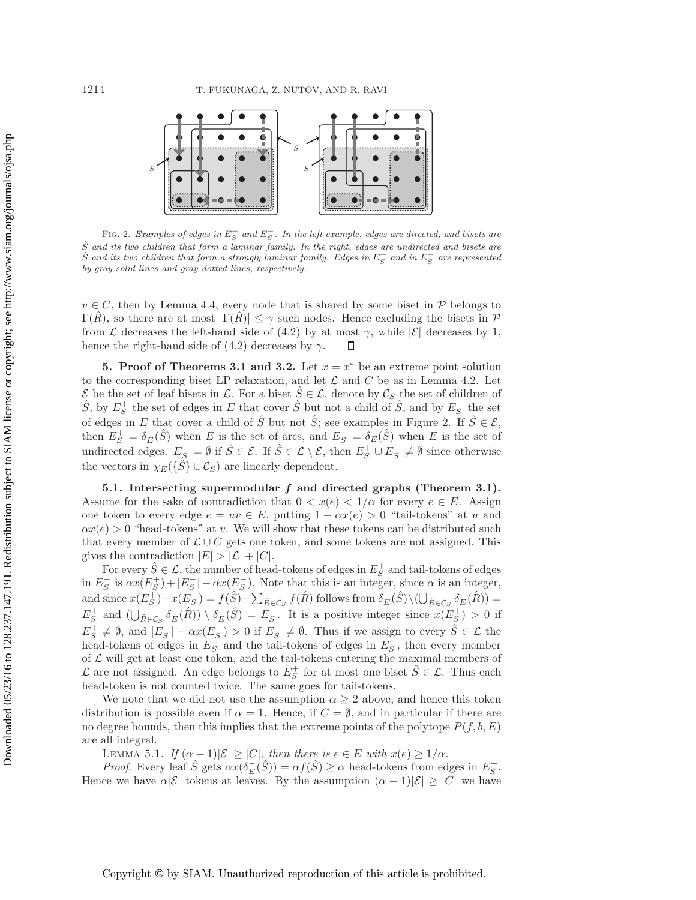

<span id="page-12-1"></span>FIG. 2. *Examples of edges in*  $E_S^+$  *and*  $E_S^-$ . In the left example, edges are directed, and bisets are *S*ˆ *and its two children that form a laminar family. In the right, edges are undirected and bisets are*  $\hat{S}$  *and its two children that form a strongly laminar family. Edges in*  $E_S^+$  *and in*  $E_S^-$  *are represented by gray solid lines and gray dotted lines, respectively.*

 $v \in C$ , then by Lemma [4.4,](#page-11-2) every node that is shared by some biset in  $\mathcal P$  belongs to  $\Gamma(R)$ , so there are at most  $|\Gamma(R)| \leq \gamma$  such nodes. Hence excluding the bisets in  $\mathcal P$ from L decreases the left-hand side of [\(4.2\)](#page-11-1) by at most  $\gamma$ , while  $|\mathcal{E}|$  decreases by 1, hence the right-hand side of [\(4.2\)](#page-11-1) decreases by  $\gamma$ .  $\Box$ 

<span id="page-12-0"></span>**5. Proof of Theorems [3.1](#page-8-0) and [3.2.](#page-8-1)** Let  $x = x^*$  be an extreme point solution to the corresponding biset LP relaxation, and let  $\mathcal L$  and  $C$  be as in Lemma [4.2.](#page-10-0) Let  $\mathcal{E}$  be the set of leaf bisets in  $\mathcal{L}$ . For a biset  $\hat{S} \in \mathcal{L}$ , denote by  $\mathcal{C}_S$  the set of children of  $\hat{S}$ , by  $E_S^+$  the set of edges in  $E$  that cover  $\hat{S}$  but not a child of  $\hat{S}$ , and by  $E$ of edges in E that cover a child of  $\hat{S}$  but not  $\hat{S}$ ; see examples in Figure [2.](#page-12-1) If  $\hat{S} \in \mathcal{E}$ , then  $E_S^+ = \delta_E^-(\hat{S})$  when E is the set of arcs, and  $E_S^+ = \delta_E^-(\hat{S})$  when E is the set of undirected edges.  $E_S^- = \emptyset$  if  $\hat{S} \in \mathcal{E}$ . If  $\hat{S} \in \mathcal{L} \setminus \mathcal{E}$ , then  $E_S^+ \cup E_S^- \neq \emptyset$  since otherwise the vectors in  $\chi_E(\{\hat{S}\}\cup\mathcal{C}_S)$  are linearly dependent.

**5.1. Intersecting supermodular** *f* **and directed graphs (Theorem [3.1\)](#page-8-0).** Assume for the sake of contradiction that  $0 < x(e) < 1/\alpha$  for every  $e \in E$ . Assign one token to every edge  $e = uv \in E$ , putting  $1 - \alpha x(e) > 0$  "tail-tokens" at u and  $\alpha x(e) > 0$  "head-tokens" at v. We will show that these tokens can be distributed such that every member of  $\mathcal{L} \cup C$  gets one token, and some tokens are not assigned. This gives the contradiction  $|E| > |\mathcal{L}| + |C|$ .

For every  $\hat{S} \in \mathcal{L}$ , the number of head-tokens of edges in  $E_S^+$  and tail-tokens of edges<br>in  $E_S^-$  is  $\alpha x(E_S^+) + |E_S^-| - \alpha x(E_S^-)$ . Note that this is an integer, since  $\alpha$  is an integer,<br>and since  $\alpha(E^+) - \alpha(E^-) - \beta(\hat{S})$ and since  $x(E_S^+) - x(E_S^-) = f(\hat{S}) - \sum_{\hat{R} \in \mathcal{C}_S} f(\hat{R})$  follows from  $\delta_E^-(\hat{S}) \setminus (\bigcup_{\hat{R} \in \mathcal{C}_S} \delta_E^-(\hat{R})) =$  $E_S^+$  and  $(\bigcup_{\hat{R} \in \mathcal{C}_S} \delta^-_E(\hat{R})) \setminus \delta^-_E(\hat{S}) = E_S^-$ . It is a positive integer since  $x(E_S^+) > 0$  if  $E_S^+ \neq \emptyset$ , and  $|E_S^-| - \alpha x(E_S^-) > 0$  if  $E_S^- \neq \emptyset$ . Thus if we assign to every  $\hat{S} \in \mathcal{L}$  the head-tokens of edges in  $E_S^+$  and the tail-tokens of edges in  $E_S^-$ , then every member of  $\mathcal{L}$  will get at least one of  $\mathcal L$  will get at least one token, and the tail-tokens entering the maximal members of  $\mathcal{L}$  are not assigned. An edge belongs to  $E_S^+$  for at most one biset  $\hat{S} \in \mathcal{L}$ . Thus each head-token is not counted twice. The same goes for tail-tokens head-token is not counted twice. The same goes for tail-tokens.

We note that we did not use the assumption  $\alpha \geq 2$  above, and hence this token distribution is possible even if  $\alpha = 1$ . Hence, if  $C = \emptyset$ , and in particular if there are no degree bounds, then this implies that the extreme points of the polytope  $P(f, b, E)$ are all integral.

<span id="page-12-2"></span>LEMMA 5.1. *If*  $(\alpha - 1)|\mathcal{E}| \geq |C|$ *, then there is*  $e \in E$  *with*  $x(e) \geq 1/\alpha$ *.* 

*Proof.* Every leaf  $\hat{S}$  gets  $\alpha x(\delta_E(\hat{S})) = \alpha f(\hat{S}) \ge \alpha$  head-tokens from edges in  $E_S^+$ . Hence we have  $\alpha|\mathcal{E}|$  tokens at leaves. By the assumption  $(\alpha - 1)|\mathcal{E}| \geq |C|$  we have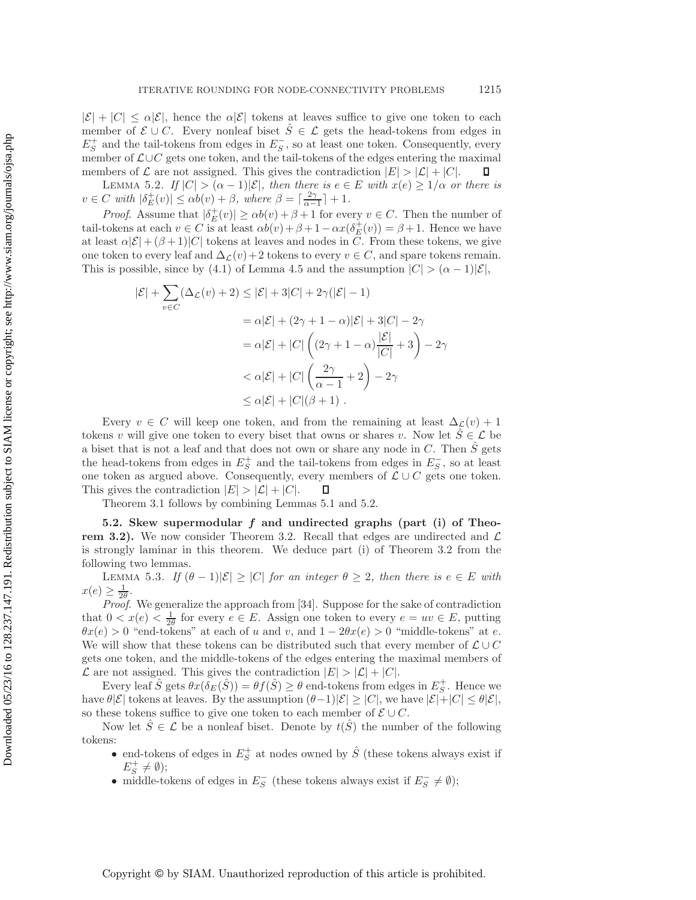$|\mathcal{E}| + |C| \leq \alpha |\mathcal{E}|$ , hence the  $\alpha |\mathcal{E}|$  tokens at leaves suffice to give one token to each member of  $\mathcal{E} \cup C$ . Every nonleaf biset  $\hat{S} \in \mathcal{L}$  gets the head-tokens from edges in  $E_S^+$  and the tail-tokens from edges in  $E_S^-$ , so at least one token. Consequently, every<br>member of  $C \cup C$  gets one token, and the tail-tokens of the edges entering the maximal member of L∪C gets one token, and the tail-tokens of the edges entering the maximal members of  $\mathcal L$  are not assigned. This gives the contradiction  $|E| > |\mathcal L| + |C|$ . П

<span id="page-13-0"></span>LEMMA 5.2. *If*  $|C| > (\alpha - 1)|\mathcal{E}|$ *, then there is*  $e \in E$  *with*  $x(e) \geq 1/\alpha$  *or there is*  $v \in C$  with  $|\delta_E^+(v)| \le \alpha b(v) + \beta$ , where  $\beta = \lceil \frac{2\gamma}{\alpha-1} \rceil + 1$ .

*Proof.* Assume that  $|\delta_E^+(v)| \ge \alpha b(v) + \beta + 1$  for every  $v \in C$ . Then the number of takens at each  $v \in C$  is at least  $\alpha b(v) + \beta + 1 - \alpha r(\delta^+(v)) - \beta + 1$ . Hence we have tail-tokens at each  $v \in C$  is at least  $\alpha b(v) + \beta + 1 - \alpha x(\delta_E^+(v)) = \beta + 1$ . Hence we have at least  $\alpha |\mathcal{E}| + (\beta + 1)|C|$  tokens at leaves and nodes in C. From these tokens, we give one token to every leaf and  $\Delta_{\mathcal{L}}(v)+2$  tokens to every  $v\in C$ , and spare tokens remain. This is possible, since by [\(4.1\)](#page-11-1) of Lemma [4.5](#page-11-0) and the assumption  $|C| > (\alpha - 1)|\mathcal{E}|$ ,

$$
|\mathcal{E}| + \sum_{v \in C} (\Delta_{\mathcal{L}}(v) + 2) \le |\mathcal{E}| + 3|C| + 2\gamma(|\mathcal{E}| - 1)
$$
  
=  $\alpha |\mathcal{E}| + (2\gamma + 1 - \alpha)|\mathcal{E}| + 3|C| - 2\gamma$   
=  $\alpha |\mathcal{E}| + |C| \left( (2\gamma + 1 - \alpha) \frac{|\mathcal{E}|}{|C|} + 3 \right) - 2\gamma$   
 $< \alpha |\mathcal{E}| + |C| \left( \frac{2\gamma}{\alpha - 1} + 2 \right) - 2\gamma$   
 $\le \alpha |\mathcal{E}| + |C| (\beta + 1).$ 

Every  $v \in C$  will keep one token, and from the remaining at least  $\Delta_{\mathcal{L}}(v)+1$ tokens v will give one token to every biset that owns or shares v. Now let  $\hat{S} \in \mathcal{L}$  be a biset that is not a leaf and that does not own or share any node in C. Then  $\hat{S}$  gets the head-tokens from edges in  $E_S^+$  and the tail-tokens from edges in  $E_S^-$ , so at least one token as argued above. Consequently, every members of  $\mathcal{L} \cup C$  gets one token. This gives the contradiction  $|E| > |\mathcal{L}| + |C|$ .  $\Box$ 

Theorem [3.1](#page-8-0) follows by combining Lemmas [5.1](#page-12-2) and [5.2.](#page-13-0)

**5.2. Skew supermodular** *f* **and undirected graphs (part (i) of Theo-rem [3.2\)](#page-8-1).** We now consider Theorem [3.2.](#page-8-1) Recall that edges are undirected and  $\mathcal{L}$ is strongly laminar in this theorem. We deduce part (i) of Theorem [3.2](#page-8-1) from the following two lemmas.

<span id="page-13-1"></span>LEMMA 5.3. *If*  $(\theta - 1)|\mathcal{E}| \geq |C|$  *for an integer*  $\theta \geq 2$ *, then there is*  $e \in E$  *with*  $x(e) \geq \frac{1}{2\theta}$ .<br>Proof

*Proof*. We generalize the approach from [\[34\]](#page-27-3). Suppose for the sake of contradiction that  $0 < x(e) < \frac{1}{2\theta}$  for every  $e \in E$ . Assign one token to every  $e = uv \in E$ , putting  $\theta x(e) > 0$  "end-tokens" at each of u and u and  $1 - 2\theta x(e) > 0$  "middle-tokens" at e  $\theta x(e) > 0$  "end-tokens" at each of u and v, and  $1 - 2\theta x(e) > 0$  "middle-tokens" at e. We will show that these tokens can be distributed such that every member of  $\mathcal{L} \cup C$ gets one token, and the middle-tokens of the edges entering the maximal members of  $\mathcal L$  are not assigned. This gives the contradiction  $|E| > |\mathcal L| + |C|$ .

Every leaf  $\hat{S}$  gets  $\theta x(\delta_E(\hat{S})) = \theta f(\hat{S}) \ge \theta$  end-tokens from edges in  $E_S^+$ . Hence we also the securition  $(\theta - 1)|S| > |C|$  we have  $|S| + |C| < \theta |S|$ have  $\theta|\mathcal{E}|$  tokens at leaves. By the assumption  $(\theta-1)|\mathcal{E}| \geq |C|$ , we have  $|\mathcal{E}|+|C| \leq \theta|\mathcal{E}|$ , so these tokens suffice to give one token to each member of  $\mathcal{E} \cup C$ .

Now let  $\hat{S} \in \mathcal{L}$  be a nonleaf biset. Denote by  $t(\hat{S})$  the number of the following tokens:

- end-tokens of edges in  $E_S^+$  at nodes owned by  $\hat{S}$  (these tokens always exist if  $E^+ \nightharpoonup \emptyset$ ).  $E_S^+ \neq \emptyset$ );<br>middle-to
- middle-tokens of edges in  $E_S^-$  (these tokens always exist if  $E_S^- \neq \emptyset$ );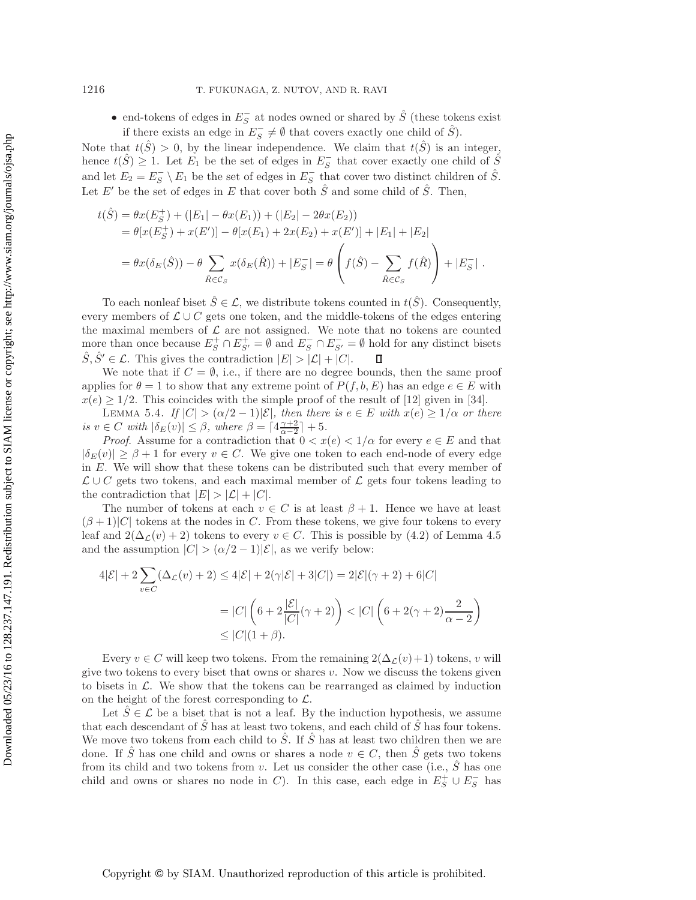• end-tokens of edges in  $E_5^-$  at nodes owned or shared by  $\hat{S}$  (these tokens exist<br>if there exists an adm in  $E_5^-$  /  $\emptyset$  that covers exactly are obild of  $\hat{S}$ ) if there exists an edge in  $E_S^- \neq \emptyset$  that covers exactly one child of  $\hat{S}$ ).

Note that  $t(S) > 0$ , by the linear independence. We claim that  $t(S)$  is an integer, hence  $t(\hat{S}) \geq 1$ . Let  $E_1$  be the set of edges in  $E_5^-$  that cover exactly one child of  $\hat{S}$ and let  $E_2 = E_S^- \setminus E_1$  be the set of edges in  $E_S^-$  that cover two distinct children of  $\hat{S}$ . Let E' be the set of edges in E that cover both  $\hat{S}$  and some child of  $\hat{S}$ . Then,

$$
t(\hat{S}) = \theta x(E_S^+) + (|E_1| - \theta x(E_1)) + (|E_2| - 2\theta x(E_2))
$$
  
=  $\theta[x(E_S^+) + x(E')] - \theta[x(E_1) + 2x(E_2) + x(E')] + |E_1| + |E_2|$   
=  $\theta x(\delta_E(\hat{S})) - \theta \sum_{\hat{R} \in \mathcal{C}_S} x(\delta_E(\hat{R})) + |E_S^-| = \theta \left( f(\hat{S}) - \sum_{\hat{R} \in \mathcal{C}_S} f(\hat{R}) \right) + |E_S^-|.$ 

To each nonleaf biset  $\hat{S} \in \mathcal{L}$ , we distribute tokens counted in  $t(\hat{S})$ . Consequently, every members of  $\mathcal{L} \cup C$  gets one token, and the middle-tokens of the edges entering the maximal members of  $\mathcal L$  are not assigned. We note that no tokens are counted more than once because  $E_S^+ \cap E_{S'}^+ = \emptyset$  and  $E_S^- \cap E_{S'}^- = \emptyset$  hold for any distinct bisets  $\hat{S} \hat{S}' \subset C$ . This gives the contradiction  $|E| > |C| + |C|$ Solution  $\lim_{S \to \infty} S_S^S + \lim_{S \to \infty} S_S^S = \lim_{S \to \infty} S_S^S + \lim_{S \to \infty} S_S^S =$  $\Box$ 

We note that if  $C = \emptyset$ , i.e., if there are no degree bounds, then the same proof applies for  $\theta = 1$  to show that any extreme point of  $P(f, b, E)$  has an edge  $e \in E$  with  $x(e) \geq 1/2$ . This coincides with the simple proof of the result of [\[12\]](#page-26-2) given in [\[34\]](#page-27-3).

<span id="page-14-0"></span>LEMMA 5.4. *If*  $|C| > (\alpha/2 - 1)|\mathcal{E}|$ *, then there is*  $e \in E$  *with*  $x(e) \geq 1/\alpha$  *or there is*  $v \in C$  *with*  $|\delta_E(v)| \leq \beta$ , *where*  $\beta = \lceil 4\frac{\gamma+2}{\alpha-2} \rceil + 5$ .<br>*Proof* Assume for a contradiction that  $0 < r$ .

*Proof.* Assume for a contradiction that  $0 < x(e) < 1/\alpha$  for every  $e \in E$  and that  $|\delta_E(v)| \geq \beta + 1$  for every  $v \in C$ . We give one token to each end-node of every edge in E. We will show that these tokens can be distributed such that every member of  $\mathcal{L} \cup C$  gets two tokens, and each maximal member of  $\mathcal{L}$  gets four tokens leading to the contradiction that  $|E| > |\mathcal{L}| + |C|$ .

The number of tokens at each  $v \in C$  is at least  $\beta + 1$ . Hence we have at least  $(\beta+1)|C|$  tokens at the nodes in C. From these tokens, we give four tokens to every leaf and  $2(\Delta_{\mathcal{L}}(v) + 2)$  tokens to every  $v \in C$ . This is possible by [\(4.2\)](#page-11-1) of Lemma [4.5](#page-11-0) and the assumption  $|C| > (\alpha/2 - 1)|\mathcal{E}|$ , as we verify below:

$$
4|\mathcal{E}| + 2\sum_{v \in C} (\Delta_{\mathcal{L}}(v) + 2) \le 4|\mathcal{E}| + 2(\gamma|\mathcal{E}| + 3|C|) = 2|\mathcal{E}|(\gamma + 2) + 6|C|
$$
  
= |C|  $(6 + 2\frac{|\mathcal{E}|}{|C|}(\gamma + 2)) < |C| (6 + 2(\gamma + 2)\frac{2}{\alpha - 2})$   
 $\le |C|(1 + \beta).$ 

Every  $v \in C$  will keep two tokens. From the remaining  $2(\Delta_{\mathcal{L}}(v)+1)$  tokens, v will give two tokens to every biset that owns or shares  $v$ . Now we discuss the tokens given to bisets in  $\mathcal{L}$ . We show that the tokens can be rearranged as claimed by induction on the height of the forest corresponding to  $\mathcal{L}$ .

Let  $\overline{S} \in \mathcal{L}$  be a biset that is not a leaf. By the induction hypothesis, we assume that each descendant of  $\tilde{S}$  has at least two tokens, and each child of  $\tilde{S}$  has four tokens. We move two tokens from each child to  $\hat{S}$ . If  $\hat{S}$  has at least two children then we are done. If S has one child and owns or shares a node  $v \in C$ , then S gets two tokens from its child and two tokens from  $v$ . Let us consider the other case (i.e.,  $S$  has one child and owns or shares no node in C). In this case, each edge in  $E_S^+ \cup E_S^-$  has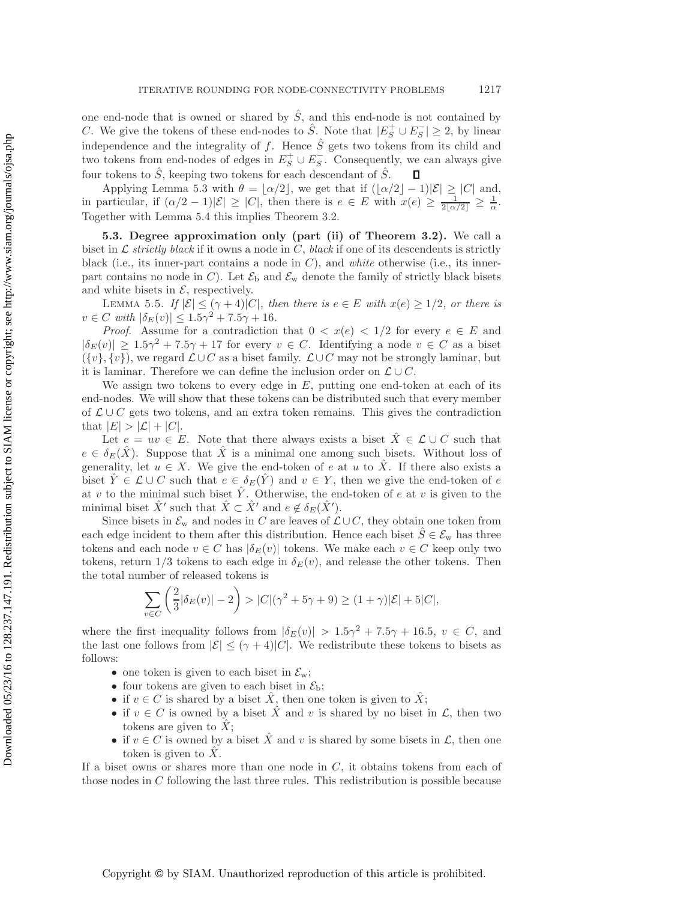one end-node that is owned or shared by  $\hat{S}$ , and this end-node is not contained by C. We give the tokens of these end-nodes to  $\hat{S}$ . Note that  $|E_S^{\perp} \cup E_S^-| \geq 2$ , by linear independence and the integrality of f. Hence  $\hat{S}$  acts two telesco from its objected and independence and the integrality of f. Hence  $\hat{S}$  gets two tokens from its child and two tokens from end-nodes of edges in  $E_5^+ \cup E_5^-$ . Consequently, we can always give four tokens to  $\hat{S}$ , keeping two tokens for each descendant of  $\hat{S}$ .

Applying Lemma [5.3](#page-13-1) with  $\theta = [\alpha/2]$ , we get that if  $(|\alpha/2| - 1)|\mathcal{E}| \geq |C|$  and, in particular, if  $(\alpha/2 - 1)|\mathcal{E}| \geq |C|$ , then there is  $e \in E$  with  $x(e) \geq \frac{1}{2[\alpha/2]} \geq \frac{1}{\alpha}$ .<br>Together with Lemma 5.4 this implies Theorem 3.2 Together with Lemma [5.4](#page-14-0) this implies Theorem [3.2.](#page-8-1)

**5.3. Degree approximation only (part (ii) of Theorem [3.2\)](#page-8-1).** We call a biset in  $\mathcal L$  *strictly black* if it owns a node in  $C$ , *black* if one of its descendents is strictly black (i.e., its inner-part contains a node in C), and *white* otherwise (i.e., its innerpart contains no node in C). Let  $\mathcal{E}_{\text{b}}$  and  $\mathcal{E}_{\text{w}}$  denote the family of strictly black bisets and white bisets in  $\mathcal{E}$ , respectively.

LEMMA 5.5. *If*  $|\mathcal{E}| \leq (\gamma + 4)|C|$ *, then there is*  $e \in E$  *with*  $x(e) \geq 1/2$ *, or there is*  $v \in C$  *with*  $|\delta_E(v)| \leq 1.5\gamma^2 + 7.5\gamma + 16$ *.* 

*Proof.* Assume for a contradiction that  $0 < x(e) < 1/2$  for every  $e \in E$  and  $|\delta_E(v)| \geq 1.5\gamma^2 + 7.5\gamma + 17$  for every  $v \in C$ . Identifying a node  $v \in C$  as a biset  $({v}, {v})$ , we regard  $\mathcal{L} \cup C$  as a biset family.  $\mathcal{L} \cup C$  may not be strongly laminar, but it is laminar. Therefore we can define the inclusion order on  $\mathcal{L} \cup C$ .

We assign two tokens to every edge in  $E$ , putting one end-token at each of its end-nodes. We will show that these tokens can be distributed such that every member of  $\mathcal{L} \cup C$  gets two tokens, and an extra token remains. This gives the contradiction that  $|E| > |\mathcal{L}| + |C|$ .

Let  $e = uv \in E$ . Note that there always exists a biset  $\hat{X} \in \mathcal{L} \cup C$  such that  $e \in \delta_E(X)$ . Suppose that X is a minimal one among such bisets. Without loss of generality, let  $u \in X$ . We give the end-token of e at u to X. If there also exists a biset  $\hat{Y} \in \mathcal{L} \cup C$  such that  $e \in \delta_E(\hat{Y})$  and  $v \in Y$ , then we give the end-token of e at v to the minimal such biset  $\hat{Y}$ . Otherwise, the end-token of e at v is given to the minimal biset  $\hat{X}$ ' such that  $\hat{X} \subset \hat{X}$ ' and  $e \notin \delta_E(\hat{X}')$ .<br>Since bisets in  $\mathcal{S}$  and nodes in  $C$  are logics of  $\mathcal{C}$ .

Since bisets in  $\mathcal{E}_{w}$  and nodes in C are leaves of  $\mathcal{L} \cup C$ , they obtain one token from each edge incident to them after this distribution. Hence each biset  $S \in \mathcal{E}_{w}$  has three tokens and each node  $v \in C$  has  $|\delta_E(v)|$  tokens. We make each  $v \in C$  keep only two tokens, return  $1/3$  tokens to each edge in  $\delta_E(v)$ , and release the other tokens. Then the total number of released tokens is

$$
\sum_{v \in C} \left( \frac{2}{3} |\delta_E(v)| - 2 \right) > |C|(\gamma^2 + 5\gamma + 9) \ge (1 + \gamma)|\mathcal{E}| + 5|C|,
$$

where the first inequality follows from  $|\delta_E(v)| > 1.5\gamma^2 + 7.5\gamma + 16.5$ ,  $v \in C$ , and the last one follows from  $|\mathcal{E}| \leq (\gamma + 4)|C|$ . We redistribute these tokens to bisets as follows:

- one token is given to each biset in  $\mathcal{E}_{w}$ ;
- four tokens are given to each biset in  $\mathcal{E}_{\rm b}$ ;
- if  $v \in C$  is shared by a biset  $\hat{X}$ , then one token is given to  $\hat{X}$ ;
- if  $v \in C$  is owned by a biset  $\hat{X}$  and v is shared by no biset in  $\mathcal{L}$ , then two tokens are given to  $\ddot{X}$ ;
- if  $v \in C$  is owned by a biset  $\hat{X}$  and v is shared by some bisets in  $\mathcal{L}$ , then one token is given to  $X$ .

If a biset owns or shares more than one node in  $C$ , it obtains tokens from each of those nodes in  $C$  following the last three rules. This redistribution is possible because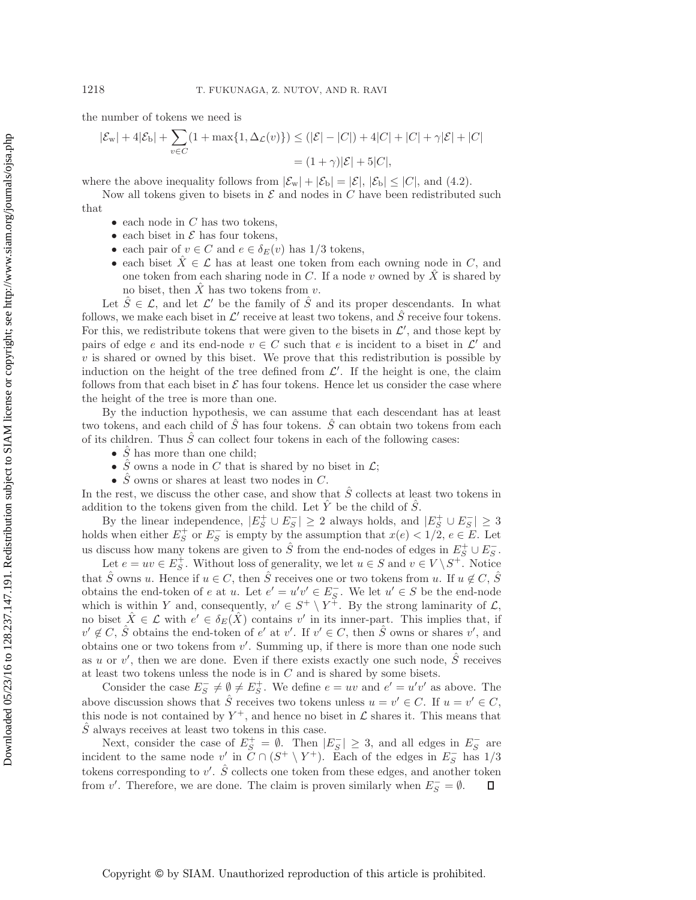the number of tokens we need is

$$
|\mathcal{E}_{w}| + 4|\mathcal{E}_{b}| + \sum_{v \in C} (1 + \max\{1, \Delta_{\mathcal{L}}(v)\}) \le (|\mathcal{E}| - |C|) + 4|C| + |C| + \gamma |\mathcal{E}| + |C|
$$
  
=  $(1 + \gamma)|\mathcal{E}| + 5|C|$ ,

where the above inequality follows from  $|\mathcal{E}_{w}| + |\mathcal{E}_{b}| = |\mathcal{E}|, |\mathcal{E}_{b}| \leq |C|$ , and [\(4.2\)](#page-11-1).

Now all tokens given to bisets in  $\mathcal E$  and nodes in C have been redistributed such

that

- $\bullet\,$ each node in $C$  has two tokens,
- each biset in  $\mathcal E$  has four tokens,
- each pair of  $v \in C$  and  $e \in \delta_E(v)$  has  $1/3$  tokens,
- each biset  $\hat{X} \in \mathcal{L}$  has at least one token from each owning node in C, and one token from each sharing node in C. If a node v owned by  $\hat{X}$  is shared by no biset, then  $X$  has two tokens from  $v$ .

Let  $S \in \mathcal{L}$ , and let  $\mathcal{L}'$  be the family of S and its proper descendants. In what follows, we make each biset in  $\mathcal{L}'$  receive at least two tokens, and  $\hat{S}$  receive four tokens. For this, we redistribute tokens that were given to the bisets in  $\mathcal{L}'$ , and those kept by pairs of edge e and its end-node  $v \in C$  such that e is incident to a biset in  $\mathcal{L}'$  and  $v$  is shared or owned by this biset. We prove that this redistribution is possible by induction on the height of the tree defined from  $\mathcal{L}'$ . If the height is one, the claim follows from that each biset in  $\mathcal E$  has four tokens. Hence let us consider the case where the height of the tree is more than one.

By the induction hypothesis, we can assume that each descendant has at least two tokens, and each child of  $\hat{S}$  has four tokens.  $\hat{S}$  can obtain two tokens from each of its children. Thus  $\tilde{S}$  can collect four tokens in each of the following cases:

- $\ddot{S}$  has more than one child;
- $\hat{S}$  owns a node in C that is shared by no biset in  $\mathcal{L}$ ;
- $\hat{S}$  owns or shares at least two nodes in C.

In the rest, we discuss the other case, and show that  $\hat{S}$  collects at least two tokens in addition to the tokens given from the child. Let  $Y$  be the child of  $S$ .

By the linear independence,  $|E_S^+ \cup E_S^-| \geq 2$  always holds, and  $|E_S^+ \cup E_S^-| \geq 3$ <br>s when either  $E^+$  or  $E^-$  is empty by the assumption that  $x(e) < 1/2$  e  $\in E$ . Let holds when either  $E^+_S$  or  $E^-_S$  is empty by the assumption that  $x(e) < 1/2, e \in E$ . Let us discuss how many tokens are given to  $\hat{S}$  from the end-nodes of edges in  $E_S^+ \cup E_S^-$ .<br>Let  $e = uv \in F^+$  Without loss of gonorality wo let  $u \in S$  and  $v \in V \setminus S^+$  Notice

Let  $e = uv \in E_S^+$ . Without loss of generality, we let  $u \in S$  and  $v \in V \setminus S^+$ . Notice that  $\hat{S}$  owns u. Hence if  $u \in C$ , then  $\hat{S}$  receives one or two tokens from u. If  $u \notin C$ ,  $\hat{S}$ obtains the end-token of e at u. Let  $e' = u'v' \in E_S^-$ . We let  $u' \in S$  be the end-node which is within Y and, consequently,  $v' \in S^+ \setminus Y^+$ . By the strong laminarity of  $\mathcal{L}$ , no biset  $\hat{X} \in \mathcal{L}$  with  $e' \in \delta_E(\hat{X})$  contains v' in its inner-part. This implies that, if  $v' \notin C$ ,  $\hat{S}$  obtains the end-token of e' at v'. If  $v' \in C$ , then  $\hat{S}$  owns or shares v', and obtains one or two tokens from v . Summing up, if there is more than one node such as u or v', then we are done. Even if there exists exactly one such node,  $\hat{S}$  receives at least two tokens unless the node is in  $C$  and is shared by some bisets.

Consider the case  $E_S^- \neq \emptyset \neq E_S^+$ . We define  $e = uv$  and  $e' = u'v'$  as above. The above discussion shows that  $\hat{S}$  receives two tokens unless  $u = v' \in C$ . If  $u = v' \in C$ , this node is not contained by  $Y^+$ , and hence no biset in  $\mathcal L$  shares it. This means that  $\hat{S}$  always receives at least two tokens in this case.

Next, consider the case of  $E_S^+ = \emptyset$ . Then  $|E_S^-| \geq 3$ , and all edges in  $E_S^-$  are<br>incident to the same node v' in  $C \cap (S^+ \setminus Y^+)$ . Each of the edges in  $E_S^-$  has 1/3<br>telesce convergences in the v'.  $\hat{S}$  collects are tokens corresponding to v'.  $\hat{S}$  collects one token from these edges, and another token from v'. Therefore, we are done. The claim is proven similarly when  $E_S^- = \emptyset$ .  $\Box$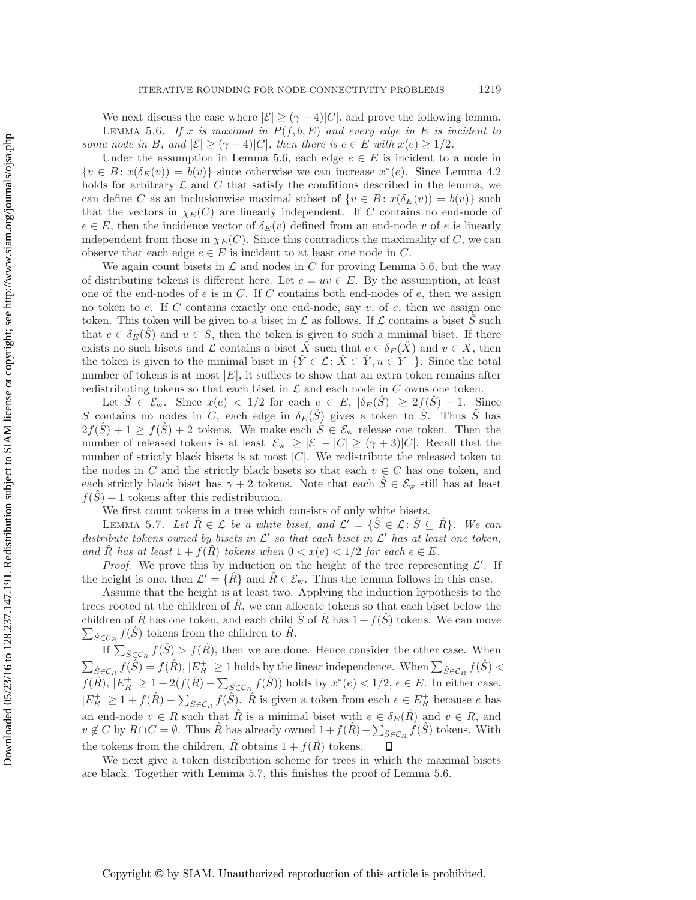<span id="page-17-0"></span>We next discuss the case where  $|\mathcal{E}| \geq (\gamma + 4)|C|$ , and prove the following lemma. LEMMA 5.6. If x is maximal in  $P(f, b, E)$  and every edge in E is incident to *some node in* B, and  $|\mathcal{E}| \geq (\gamma + 4)|C|$ , then there is  $e \in E$  with  $x(e) \geq 1/2$ .

Under the assumption in Lemma [5.6,](#page-17-0) each edge  $e \in E$  is incident to a node in  $\{v \in B : x(\delta_E(v)) = b(v)\}\$  since otherwise we can increase  $x^*(e)$ . Since Lemma [4.2](#page-10-0) holds for arbitrary  $\mathcal L$  and  $C$  that satisfy the conditions described in the lemma, we can define C as an inclusionwise maximal subset of  $\{v \in B : x(\delta_E(v)) = b(v)\}\$  such that the vectors in  $\chi_E(C)$  are linearly independent. If C contains no end-node of  $e \in E$ , then the incidence vector of  $\delta_E(v)$  defined from an end-node v of e is linearly independent from those in  $\chi_E(C)$ . Since this contradicts the maximality of C, we can observe that each edge  $e \in E$  is incident to at least one node in C.

We again count bisets in  $\mathcal L$  and nodes in C for proving Lemma [5.6,](#page-17-0) but the way of distributing tokens is different here. Let  $e = uv \in E$ . By the assumption, at least one of the end-nodes of  $e$  is in  $C$ . If  $C$  contains both end-nodes of  $e$ , then we assign no token to e. If C contains exactly one end-node, say  $v$ , of e, then we assign one token. This token will be given to a biset in  $\mathcal L$  as follows. If  $\mathcal L$  contains a biset S such that  $e \in \delta_E(\hat{S})$  and  $u \in S$ , then the token is given to such a minimal biset. If there exists no such bisets and L contains a biset X such that  $e \in \delta_E(X)$  and  $v \in X$ , then the token is given to the minimal biset in  $\{\hat{Y} \in \mathcal{L} : \hat{X} \subset \hat{Y}, u \in Y^+\}$ . Since the total number of tokens is at most  $|E|$ , it suffices to show that an extra token remains after redistributing tokens so that each biset in  $\mathcal L$  and each node in  $C$  owns one token.

Let  $S \in \mathcal{E}_{w}$ . Since  $x(e) < 1/2$  for each  $e \in E$ ,  $|\delta_E(S)| \geq 2f(S) + 1$ . Since S contains no nodes in C, each edge in  $\delta_E(\hat{S})$  gives a token to  $\hat{S}$ . Thus S has  $2f(\hat{S})+1 \ge f(\hat{S})+2$  tokens. We make each  $\hat{S} \in \mathcal{E}_{w}$  release one token. Then the number of released tokens is at least  $|\mathcal{E}_{w}| \geq |\mathcal{E}| - |C| \geq (\gamma + 3)|C|$ . Recall that the number of strictly black bisets is at most  $|C|$ . We redistribute the released token to the nodes in  $C$  and the strictly black bisets so that each  $v \in C$  has one token, and each strictly black biset has  $\gamma + 2$  tokens. Note that each  $\hat{S} \in \mathcal{E}_{w}$  still has at least  $f(S) + 1$  tokens after this redistribution.

We first count tokens in a tree which consists of only white bisets.

<span id="page-17-1"></span>LEMMA 5.7. Let  $\hat{R} \in \mathcal{L}$  be a white biset, and  $\mathcal{L}' = \{\hat{S} \in \mathcal{L} : \hat{S} \subseteq \hat{R}\}\$ . We can *distribute tokens owned by bisets in*  $\mathcal{L}'$  *so that each biset in*  $\mathcal{L}'$  *has at least one token, and* R has at least  $1 + f(R)$  *tokens when*  $0 < x(e) < 1/2$  *for each*  $e \in E$ *.* 

*Proof.* We prove this by induction on the height of the tree representing  $\mathcal{L}'$ . If the height is one, then  $\mathcal{L}' = \{R\}$  and  $R \in \mathcal{E}_{w}$ . Thus the lemma follows in this case.

Assume that the height is at least two. Applying the induction hypothesis to the trees rooted at the children of  $R<sub>z</sub>$ , we can allocate tokens so that each biset below the children of  $\hat{R}$  has one token, and each child  $\hat{S}$  of  $\hat{R}$  has  $1 + f(\hat{S})$  tokens. We can move  $\sum_{\hat{S} \in \mathcal{C}_R} f(\hat{S})$  tokens from the children to  $\hat{R}$ .

If  $\sum_{\hat{S} \in \mathcal{C}_R} f(\hat{S}) > f(\hat{R})$ , then we are done. Hence consider the other case. When  $\sum_{\hat{S} \in \mathcal{C}_R} f(\hat{S}) = f(\hat{R}), |E_R^+| \ge 1$  holds by the linear independence. When  $\sum_{\hat{S} \in \mathcal{C}_R} f(\hat{S}) <$  $f(\hat{R}), |E_R^+| \ge 1 + 2(f(\hat{R}) - \sum_{\hat{S} \in \mathcal{C}_R} f(\hat{S}))$  holds by  $x^*(e) < 1/2, e \in E$ . In either case,  $|E_R^+| \ge 1 + f(\hat{R}) - \sum_{\hat{S} \in \mathcal{C}_R} f(\hat{S}).$   $\hat{R}$  is given a token from each  $e \in E_R^+$  because e has an end-node  $v \in R$  such that  $\hat{R}$  is a minimal biset with  $e \in \delta_E(\hat{R})$  and  $v \in R$ , and  $v \notin C$  by  $R \cap C = \emptyset$ . Thus  $\hat{R}$  has already owned  $1 + f(\hat{R}) - \sum_{\hat{S} \in C_R} f(\hat{S})$  tokens. With the tokens from the children,  $\hat{R}$  obtains  $1 + f(\hat{R})$  tokens.

We next give a token distribution scheme for trees in which the maximal bisets are black. Together with Lemma [5.7,](#page-17-1) this finishes the proof of Lemma [5.6.](#page-17-0)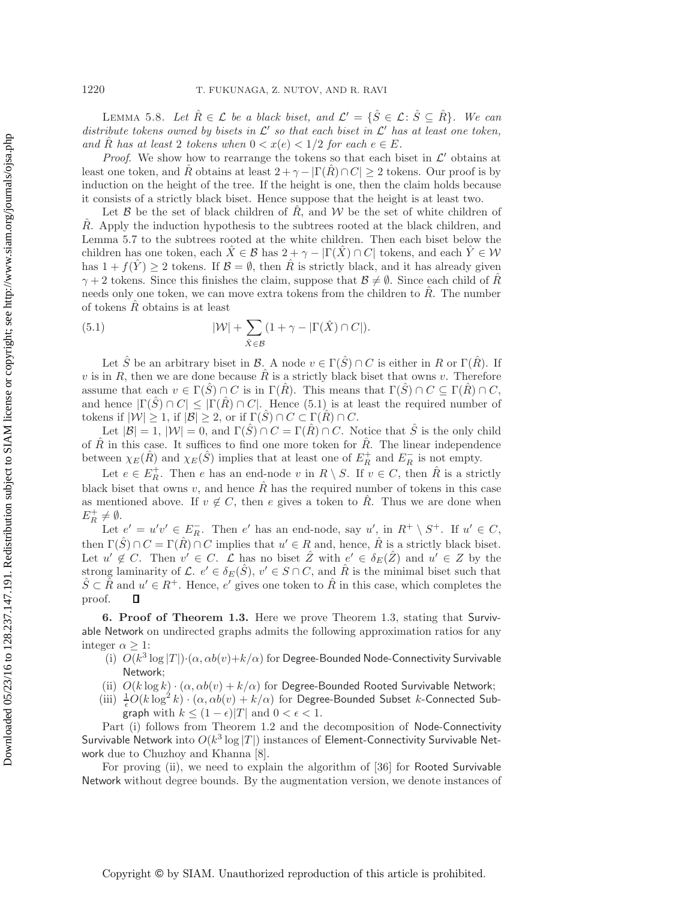LEMMA 5.8. Let  $\hat{R} \in \mathcal{L}$  be a black biset, and  $\mathcal{L}' = \{\hat{S} \in \mathcal{L} : \hat{S} \subseteq \hat{R}\}\$ . We can *distribute tokens owned by bisets in*  $\mathcal{L}'$  *so that each biset in*  $\mathcal{L}'$  *has at least one token, and* R has at least 2 *tokens when*  $0 < x(e) < 1/2$  *for each*  $e \in E$ *.* 

*Proof.* We show how to rearrange the tokens so that each biset in  $\mathcal{L}'$  obtains at least one token, and R obtains at least  $2 + \gamma - |\Gamma(R) \cap C| \geq 2$  tokens. Our proof is by induction on the height of the tree. If the height is one, then the claim holds because it consists of a strictly black biset. Hence suppose that the height is at least two.

Let  $\beta$  be the set of black children of  $\hat{R}$ , and  $\hat{W}$  be the set of white children of  $\hat{R}$ . Apply the induction hypothesis to the subtrees rooted at the black children, and Lemma [5.7](#page-17-1) to the subtrees rooted at the white children. Then each biset below the children has one token, each  $\hat{X} \in \mathcal{B}$  has  $2 + \gamma - |\Gamma(\hat{X}) \cap C|$  tokens, and each  $\hat{Y} \in \mathcal{W}$ has  $1 + f(Y) > 2$  tokens. If  $\mathcal{B} = \emptyset$ , then R is strictly black, and it has already given  $\gamma + 2$  tokens. Since this finishes the claim, suppose that  $\mathcal{B} \neq \emptyset$ . Since each child of  $\hat{R}$ needs only one token, we can move extra tokens from the children to  $\tilde{R}$ . The number of tokens  $\tilde{R}$  obtains is at least

<span id="page-18-1"></span>(5.1) 
$$
|\mathcal{W}| + \sum_{\hat{X} \in \mathcal{B}} (1 + \gamma - |\Gamma(\hat{X}) \cap C|).
$$

Let  $\hat{S}$  be an arbitrary biset in  $\mathcal{B}$ . A node  $v \in \Gamma(\hat{S}) \cap C$  is either in R or  $\Gamma(\hat{R})$ . If v is in R, then we are done because  $\hat{R}$  is a strictly black biset that owns v. Therefore assume that each  $v \in \Gamma(S) \cap C$  is in  $\Gamma(R)$ . This means that  $\Gamma(S) \cap C \subseteq \Gamma(R) \cap C$ , and hence  $|\Gamma(S) \cap C| \leq |\Gamma(R) \cap C|$ . Hence [\(5.1\)](#page-18-1) is at least the required number of tokens if  $|\mathcal{W}| \geq 1$ , if  $|\mathcal{B}| \geq 2$ , or if  $\Gamma(S) \cap C \subset \Gamma(R) \cap C$ .

Let  $|\mathcal{B}| = 1$ ,  $|\mathcal{W}| = 0$ , and  $\Gamma(\hat{S}) \cap C = \Gamma(\hat{R}) \cap C$ . Notice that  $\hat{S}$  is the only child of  $\bar{R}$  in this case. It suffices to find one more token for  $\bar{R}$ . The linear independence between  $\chi_E(\hat{R})$  and  $\chi_E(\hat{S})$  implies that at least one of  $E_R^+$  and  $E_R^-$  is not empty.

Let  $e \in E_R^+$ . Then e has an end-node v in  $R \setminus S$ . If  $v \in C$ , then  $\hat{R}$  is a strictly black biset that owns v, and hence  $\hat{R}$  has the required number of tokens in this case as mentioned above. If  $v \notin C$ , then e gives a token to  $\hat{R}$ . Thus we are done when  $E_R^+ \neq \emptyset$ .<br>Let

Let  $e' = u'v' \in E_R^-$ . Then e' has an end-node, say u', in  $R^+ \setminus S^+$ . If  $u' \in C$ ,<br> $\Gamma(\hat{S}) \cap C$ ,  $\Gamma(\hat{D}) \cap C$  implies that  $u' \in R$  and, hence  $\hat{B}$  is a strictly block hist. then  $\Gamma(\hat{S}) \cap C = \Gamma(\hat{R}) \cap C$  implies that  $u' \in R$  and, hence,  $\hat{R}$  is a strictly black biset. Let  $u' \notin C$ . Then  $v' \in C$ .  $\mathcal L$  has no biset  $\hat Z$  with  $e' \in \delta_E(\hat Z)$  and  $u' \in Z$  by the strong laminarity of L.  $e' \in \delta_E(\hat{S})$ ,  $v' \in S \cap C$ , and  $\hat{R}$  is the minimal biset such that  $S \subset R$  and  $u' \in R^+$ . Hence, e' gives one token to R<sup>i</sup> in this case, which completes the proof. Д

<span id="page-18-0"></span>**6. Proof of Theorem [1.3.](#page-4-0)** Here we prove Theorem [1.3,](#page-4-0) stating that Survivable Network on undirected graphs admits the following approximation ratios for any integer  $\alpha > 1$ :

- (i)  $O(k^3 \log |T|) \cdot (\alpha, \alpha b(v) + k/\alpha)$  for Degree-Bounded Node-Connectivity Survivable Network;
- (ii)  $O(k \log k) \cdot (\alpha, \alpha b(v) + k/\alpha)$  for Degree-Bounded Rooted Survivable Network;
- (iii)  $\frac{1}{\epsilon}O(k \log^2 k) \cdot (\alpha, \alpha b(v) + k/\alpha)$  for Degree-Bounded Subset k-Connected Subgraph with  $k \leq (1 - \epsilon)|T|$  and  $0 < \epsilon < 1$ .

Part (i) follows from Theorem [1.2](#page-3-0) and the decomposition of Node-Connectivity Survivable Network into  $O(k^3 \log |T|)$  instances of Element-Connectivity Survivable Network due to Chuzhoy and Khanna [\[8\]](#page-26-8).

For proving (ii), we need to explain the algorithm of [\[36\]](#page-27-14) for Rooted Survivable Network without degree bounds. By the augmentation version, we denote instances of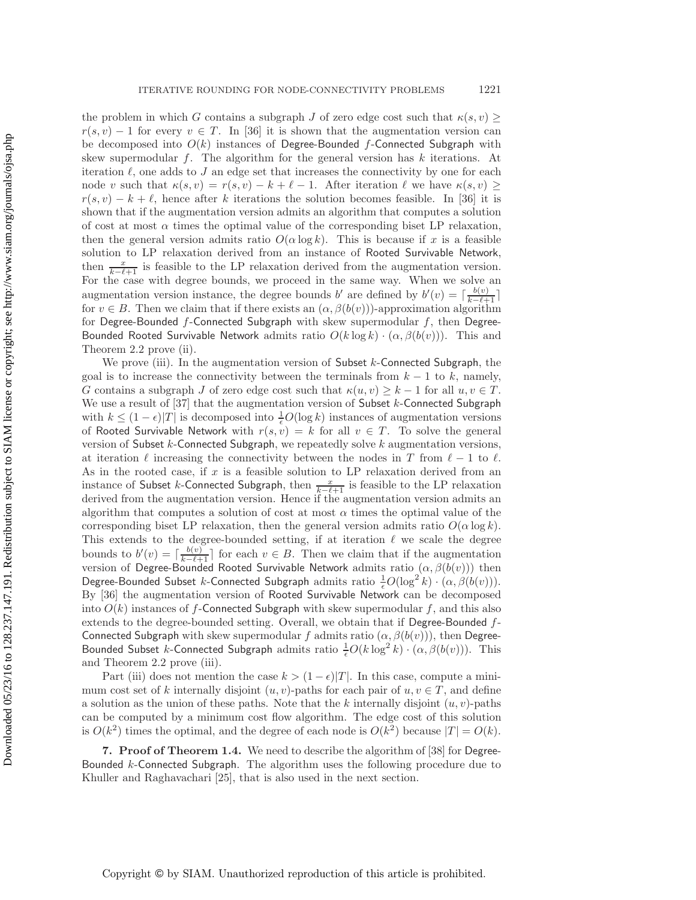the problem in which G contains a subgraph J of zero edge cost such that  $\kappa(s, v) \geq$  $r(s, v) - 1$  for every  $v \in T$ . In [\[36\]](#page-27-14) it is shown that the augmentation version can be decomposed into  $O(k)$  instances of Degree-Bounded f-Connected Subgraph with skew supermodular  $f$ . The algorithm for the general version has  $k$  iterations. At iteration  $\ell$ , one adds to  $J$  an edge set that increases the connectivity by one for each node v such that  $\kappa(s, v) = r(s, v) - k + \ell - 1$ . After iteration  $\ell$  we have  $\kappa(s, v) \ge$  $r(s, v) - k + \ell$ , hence after k iterations the solution becomes feasible. In [\[36\]](#page-27-14) it is shown that if the augmentation version admits an algorithm that computes a solution of cost at most  $\alpha$  times the optimal value of the corresponding biset LP relaxation, then the general version admits ratio  $O(\alpha \log k)$ . This is because if x is a feasible solution to LP relaxation derived from an instance of Rooted Survivable Network, then  $\frac{x}{k-\ell+1}$  is feasible to the LP relaxation derived from the augmentation version.<br>For the case with degree bounds, we proceed in the same way. When we solve an For the case with degree bounds, we proceed in the same way. When we solve an augmentation version instance, the degree bounds b' are defined by  $b'(v) = \lceil \frac{b(v)}{k-\ell+1} \rceil$ <br>for  $v \in B$ . Then we claim that if there exists an  $(\alpha, \beta(b(v)))$ -approximation algorithm for  $v \in B$ . Then we claim that if there exists an  $(\alpha, \beta(b(v)))$ -approximation algorithm for Degree-Bounded  $f$ -Connected Subgraph with skew supermodular  $f$ , then Degree-Bounded Rooted Survivable Network admits ratio  $O(k \log k) \cdot (\alpha, \beta(b(v)))$ . This and Theorem [2.2](#page-7-0) prove (ii).

We prove (iii). In the augmentation version of Subset  $k$ -Connected Subgraph, the goal is to increase the connectivity between the terminals from  $k - 1$  to k, namely, G contains a subgraph J of zero edge cost such that  $\kappa(u, v) \geq k - 1$  for all  $u, v \in T$ . We use a result of  $[37]$  that the augmentation version of Subset k-Connected Subgraph with  $k \leq (1 - \epsilon)|T|$  is decomposed into  $\frac{1}{\epsilon}O(\log k)$  instances of augmentation versions of Rooted Survivable Network with  $r(s, v) = k$  for all  $v \in T$ . To solve the general version of Subset  $k$ -Connected Subgraph, we repeatedly solve  $k$  augmentation versions, at iteration  $\ell$  increasing the connectivity between the nodes in T from  $\ell - 1$  to  $\ell$ . As in the rooted case, if x is a feasible solution to LP relaxation derived from an instance of Subset k-Connected Subgraph, then  $\frac{x}{k-\ell+1}$  is feasible to the LP relaxation<br>derived from the augmentation version. Hence if the augmentation version admits an derived from the augmentation version. Hence if the augmentation version admits an algorithm that computes a solution of cost at most  $\alpha$  times the optimal value of the corresponding biset LP relaxation, then the general version admits ratio  $O(\alpha \log k)$ . This extends to the degree-bounded setting, if at iteration  $\ell$  we scale the degree bounds to  $b'(v) = \lceil \frac{b(v)}{k-\ell+1} \rceil$  for each  $v \in B$ . Then we claim that if the augmentation version of Degree-Bounded Rooted Survivable Network admits ratio  $(\alpha, \beta(b(v)))$  then Degree-Bounded Subset *k*-Connected Subgraph admits ratio  $\frac{1}{e}O(\log^2 k) \cdot (\alpha, \beta(b(v))).$ By [\[36\]](#page-27-14) the augmentation version of Rooted Survivable Network can be decomposed into  $O(k)$  instances of f-Connected Subgraph with skew supermodular f, and this also extends to the degree-bounded setting. Overall, we obtain that if Degree-Bounded f-Connected Subgraph with skew supermodular f admits ratio  $(\alpha, \beta(b(v)))$ , then Degree-Bounded Subset k-Connected Subgraph admits ratio  $\frac{1}{\epsilon}O(k \log^2 k) \cdot (\alpha, \beta(b(v)))$ . This and Theorem [2.2](#page-7-0) prove (iii).

Part (iii) does not mention the case  $k > (1 - \epsilon)|T|$ . In this case, compute a minimum cost set of k internally disjoint  $(u, v)$ -paths for each pair of  $u, v \in T$ , and define a solution as the union of these paths. Note that the k internally disjoint  $(u, v)$ -paths can be computed by a minimum cost flow algorithm. The edge cost of this solution is  $O(k^2)$  times the optimal, and the degree of each node is  $O(k^2)$  because  $|T| = O(k)$ .

<span id="page-19-0"></span>**7. Proof of Theorem [1.4.](#page-4-1)** We need to describe the algorithm of [\[38\]](#page-27-18) for Degree-Bounded k-Connected Subgraph. The algorithm uses the following procedure due to Khuller and Raghavachari [\[25\]](#page-27-22), that is also used in the next section.

Copyright © by SIAM. Unauthorized reproduction of this article is prohibited.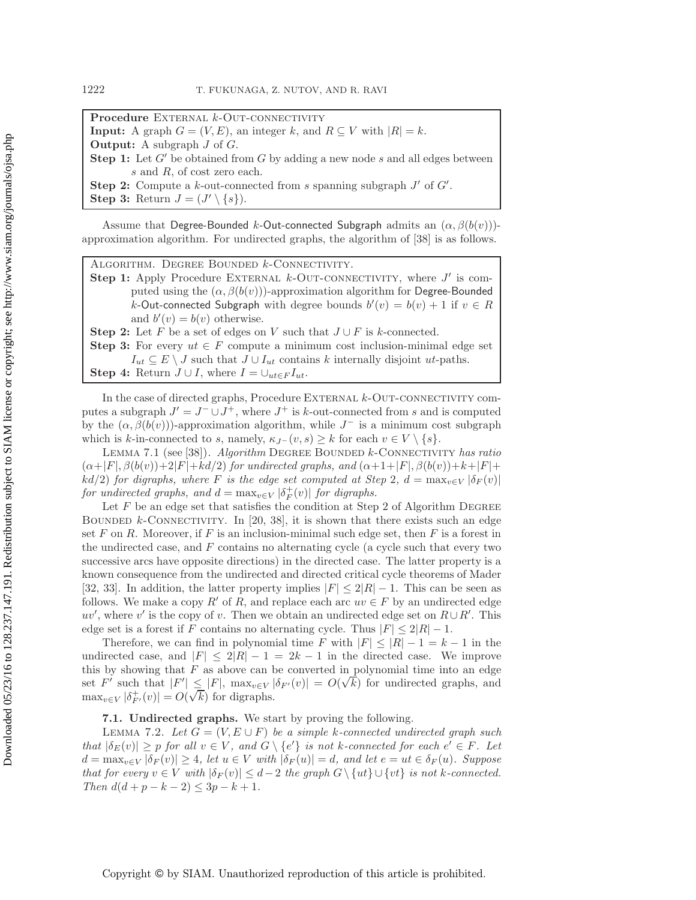Procedure EXTERNAL *k*-OUT-CONNECTIVITY **Input:** A graph  $G = (V, E)$ , an integer k, and  $R \subseteq V$  with  $|R| = k$ . **Output:** A subgraph J of G. **Step 1:** Let  $G'$  be obtained from  $G$  by adding a new node  $s$  and all edges between s and R, of cost zero each. **Step 2:** Compute a k-out-connected from s spanning subgraph  $J'$  of  $G'$ . **Step 3:** Return  $J = (J' \setminus \{s\}).$ 

Assume that Degree-Bounded k-Out-connected Subgraph admits an  $(\alpha, \beta(b(v)))$ approximation algorithm. For undirected graphs, the algorithm of [\[38\]](#page-27-18) is as follows.

Algorithm. Degree Bounded k-Connectivity.

**Step 1:** Apply Procedure EXTERNAL  $k$ -OUT-CONNECTIVITY, where  $J'$  is computed using the  $(\alpha, \beta(b(v)))$ -approximation algorithm for Degree-Bounded k-Out-connected Subgraph with degree bounds  $b'(v) = b(v) + 1$  if  $v \in R$ and  $b'(v) = b(v)$  otherwise.

**Step 2:** Let F be a set of edges on V such that  $J \cup F$  is k-connected.

**Step 3:** For every  $ut \in F$  compute a minimum cost inclusion-minimal edge set  $I_{ut} \subseteq E \setminus J$  such that  $J \cup I_{ut}$  contains k internally disjoint ut-paths.

**Step 4:** Return  $J \cup I$ , where  $I = \bigcup_{ut \in F} I_{ut}$ .

In the case of directed graphs, Procedure EXTERNAL  $k$ -OUT-CONNECTIVITY computes a subgraph  $J' = J^- \cup J^+$ , where  $J^+$  is k-out-connected from s and is computed by the  $(\alpha, \beta(b(v)))$ -approximation algorithm, while  $J^-$  is a minimum cost subgraph which is k-in-connected to s, namely,  $\kappa_{J}$ - $(v, s) \geq k$  for each  $v \in V \setminus \{s\}.$ 

<span id="page-20-1"></span>Lemma 7.1 (see [\[38\]](#page-27-18)). *Algorithm* Degree Bounded k-Connectivity *has ratio*  $(\alpha+|F|, \beta(b(v))+2|F|+kd/2)$  *for undirected graphs, and*  $(\alpha+1+|F|, \beta(b(v))+k+|F|+$  $kd/2$ ) *for digraphs, where* F *is the edge set computed at Step* 2*,*  $d = \max_{v \in V} |\delta_F(v)|$ *for undirected graphs, and*  $d = \max_{v \in V} |\delta_F^+(v)|$  *for digraphs.*<br>Let *F* be an edge set that satisfies the condition at Ster

Let  $F$  be an edge set that satisfies the condition at Step 2 of Algorithm DEGREE BOUNDED  $k$ -CONNECTIVITY. In [\[20,](#page-27-23) [38\]](#page-27-18), it is shown that there exists such an edge set F on R. Moreover, if F is an inclusion-minimal such edge set, then F is a forest in the undirected case, and  $F$  contains no alternating cycle (a cycle such that every two successive arcs have opposite directions) in the directed case. The latter property is a known consequence from the undirected and directed critical cycle theorems of Mader [\[32,](#page-27-24) [33\]](#page-27-25). In addition, the latter property implies  $|F| \leq 2|R| - 1$ . This can be seen as follows. We make a copy R' of R, and replace each arc  $uv \in F$  by an undirected edge  $uv'$ , where v' is the copy of v. Then we obtain an undirected edge set on  $R \cup R'$ . This edge set is a forest if F contains no alternating cycle. Thus  $|F| \leq 2|R| - 1$ .

Therefore, we can find in polynomial time F with  $|F| \leq |R| - 1 = k - 1$  in the undirected case, and  $|F| \leq 2|R| - 1 = 2k - 1$  in the directed case. We improve this by showing that  $F$  as above can be converted in polynomial time into an edge this by showing that F as above can be converted in polynomial time into an edge<br>set F' such that  $|F'| \leq |F|$ ,  $\max_{v \in V} |\delta_{F'}(v)| = O(\sqrt{k})$  for undirected graphs, and  $\max_{v \in V} |\delta_{F'}^+(v)| = O(\sqrt{k})$  for digraphs.

## **7.1. Undirected graphs.** We start by proving the following.

<span id="page-20-0"></span>LEMMA 7.2. Let  $G = (V, E \cup F)$  be a simple k-connected undirected graph such *that*  $|\delta_E(v)| \geq p$  *for all*  $v \in V$ *, and*  $G \setminus \{e'\}$  *is not k*-connected for each  $e' \in F$ . Let  $d = \text{max}$   $|\delta(e)| \geq 4$  let  $v \in V$  with  $|\delta(e)| = d$  and let  $e = vt \in \delta(e)$ . Symmetry  $d = \max_{v \in V} |\delta_F(v)| \geq 4$ , let  $u \in V$  with  $|\delta_F(u)| = d$ , and let  $e = ut \in \delta_F(u)$ . Suppose *that for every*  $v \in V$  *with*  $|\delta_F(v)| \leq d-2$  *the graph*  $G \setminus \{ut\} \cup \{vt\}$  *is not k-connected. Then*  $d(d+p-k-2) \leq 3p-k+1$ *.*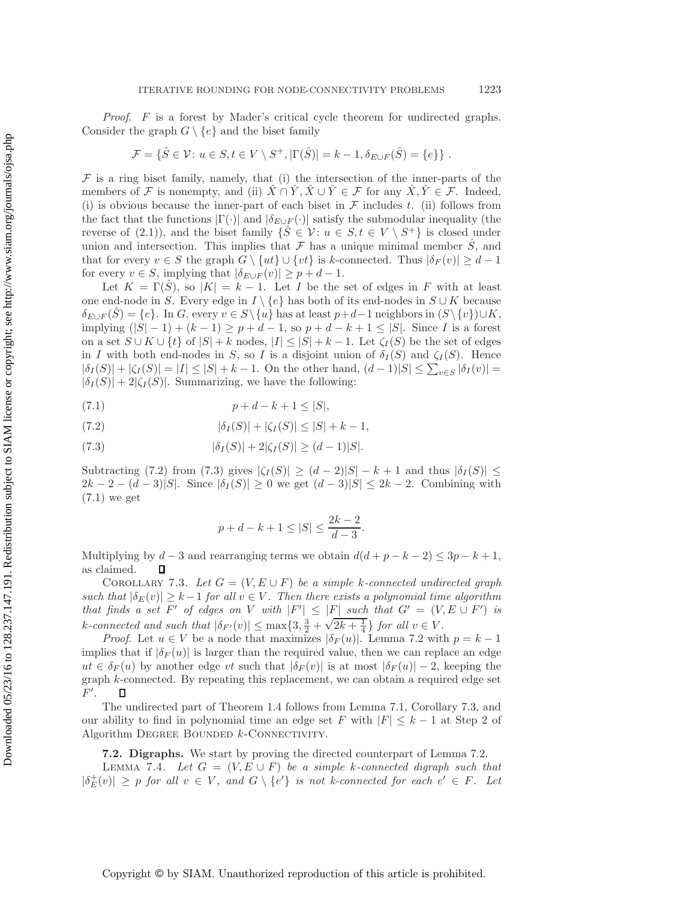*Proof*. F is a forest by Mader's critical cycle theorem for undirected graphs. Consider the graph  $G \setminus \{e\}$  and the biset family

$$
\mathcal{F} = \{ \hat{S} \in \mathcal{V} \colon u \in S, t \in V \setminus S^+, |\Gamma(\hat{S})| = k - 1, \delta_{E \cup F}(\hat{S}) = \{e\} \}.
$$

 $\mathcal F$  is a ring biset family, namely, that (i) the intersection of the inner-parts of the members of F is nonempty, and (ii)  $\hat{X} \cap \hat{Y}, \hat{X} \cup \hat{Y} \in \mathcal{F}$  for any  $\hat{X}, \hat{Y} \in \mathcal{F}$ . Indeed, (i) is obvious because the inner-part of each biset in  $\mathcal F$  includes t. (ii) follows from the fact that the functions  $|\Gamma(\cdot)|$  and  $|\delta_{E\cup F}(\cdot)|$  satisfy the submodular inequality (the reverse of [\(2.1\)](#page-6-1)), and the biset family  $\{\hat{S} \in \mathcal{V} : u \in S, t \in V \setminus S^+\}$  is closed under union and intersection. This implies that  $\mathcal F$  has a unique minimal member  $\hat S$ , and that for every  $v \in S$  the graph  $G \setminus \{ut\} \cup \{vt\}$  is k-connected. Thus  $|\delta_F(v)| \geq d-1$ for every  $v \in S$ , implying that  $|\delta_{E \cup F}(v)| \geq p + d - 1$ .

Let  $K = \Gamma(\hat{S})$ , so  $|K| = k - 1$ . Let I be the set of edges in F with at least one end-node in S. Every edge in  $I \setminus \{e\}$  has both of its end-nodes in  $S \cup K$  because  $\delta_{E\cup F}(\hat{S}) = \{e\}.$  In G, every  $v \in S\setminus\{u\}$  has at least  $p+d-1$  neighbors in  $(S\setminus\{v\})\cup K$ , implying  $(|S| - 1) + (k - 1) \ge p + d - 1$ , so  $p + d - k + 1 \le |S|$ . Since *I* is a forest on a set  $S \cup K \cup \{t\}$  of  $|S| + k$  nodes,  $|I| \leq |S| + k - 1$ . Let  $\zeta_I(S)$  be the set of edges in I with both end-nodes in S, so I is a disjoint union of  $\delta_I(S)$  and  $\zeta_I(S)$ . Hence  $|\delta_I(S)| + |\zeta_I(S)| = |I| \leq |S| + k - 1$ . On the other hand,  $(d-1)|S| \leq \sum_{v \in S} |\delta_I(v)| =$ <br> $|\delta_I(S)| + 2|\zeta_I(S)|$ . Summarizing, we have the following:  $|\delta_I(S)| + 2|\zeta_I(S)|$ . Summarizing, we have the following:

(7.1) 
$$
p + d - k + 1 \le |S|,
$$

(7.2) 
$$
|\delta_I(S)| + |\zeta_I(S)| \le |S| + k - 1,
$$

(7.3) 
$$
|\delta_I(S)| + 2|\zeta_I(S)| \ge (d-1)|S|.
$$

Subtracting [\(7.2\)](#page-21-0) from [\(7.3\)](#page-21-0) gives  $|\zeta_I(S)| \geq (d-2)|S| - k + 1$  and thus  $|\delta_I(S)| \leq$  $2k - 2 - (d - 3)|S|$ . Since  $|\delta_I(S)| \geq 0$  we get  $(d - 3)|S| \leq 2k - 2$ . Combining with [\(7.1\)](#page-21-0) we get

<span id="page-21-0"></span>
$$
p + d - k + 1 \le |S| \le \frac{2k - 2}{d - 3}.
$$

<span id="page-21-1"></span>Multiplying by  $d-3$  and rearranging terms we obtain  $d(d+p-k-2) \leq 3p-k+1$ , as claimed. П

COROLLARY 7.3. Let  $G = (V, E \cup F)$  be a simple k-connected undirected graph *such that*  $|\delta_E(v)| \geq k-1$  *for all*  $v \in V$ *. Then there exists a polynomial time algorithm that finds a set* F' of edges on V with  $|F'| \leq |F|$  such that  $G' = (V, E \cup F')$  is *k*-connected and such that  $|\delta_{F'}(v)| \le \max\{3, \frac{3}{2} + \sqrt{2k + \frac{1}{4}}\}$  for all  $v \in V$ .<br>Proof Let  $u \in V$  be a node that maximizes  $|\delta_{F}(u)|$  Lemma 7.2 with

*Proof.* Let  $u \in V$  be a node that maximizes  $|\delta_F(u)|$ . Lemma [7.2](#page-20-0) with  $p = k - 1$ implies that if  $|\delta_F(u)|$  is larger than the required value, then we can replace an edge  $ut \in \delta_F(u)$  by another edge vt such that  $|\delta_F(v)|$  is at most  $|\delta_F(u)| - 2$ , keeping the graph k-connected. By repeating this replacement, we can obtain a required edge set  $F'.$  $\Box$ 

The undirected part of Theorem [1.4](#page-4-1) follows from Lemma [7.1,](#page-20-1) Corollary [7.3,](#page-21-1) and our ability to find in polynomial time an edge set F with  $|F| \leq k-1$  at Step 2 of Algorithm DEGREE BOUNDED  $k$ -CONNECTIVITY.

### **7.2. Digraphs.** We start by proving the directed counterpart of Lemma [7.2.](#page-20-0)

<span id="page-21-2"></span>LEMMA 7.4. *Let*  $G = (V, E \cup F)$  *be a simple* k-connected digraph such that  $|\delta^+_E(v)| \geq p$  *for all*  $v \in V$ *, and*  $G \setminus \{e'\}$  *is not k-connected for each*  $e' \in F$ *. Let*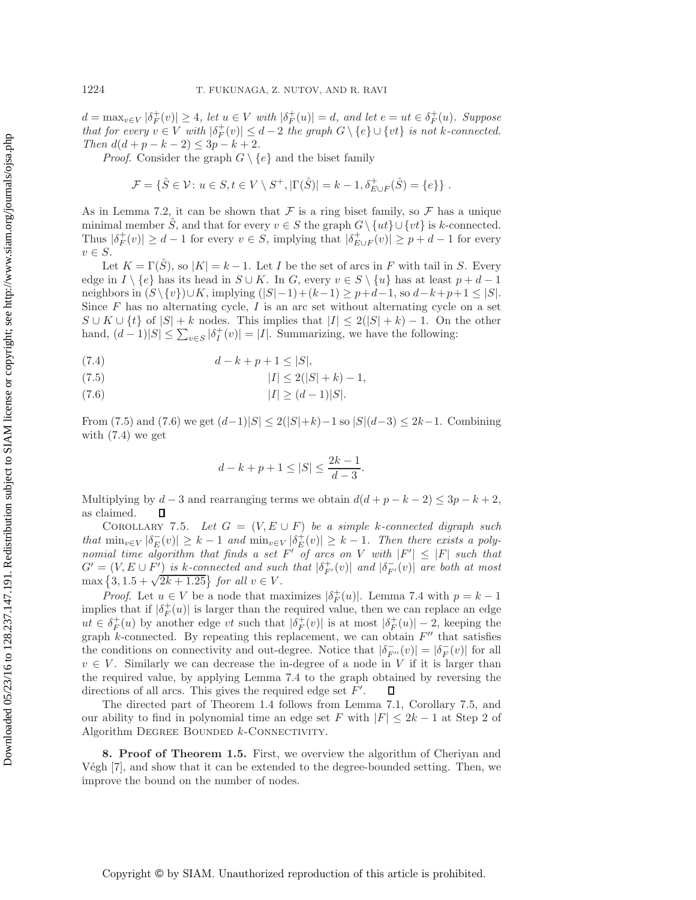$d = \max_{v \in V} |\delta_F^+(v)| \ge 4$ , let  $u \in V$  with  $|\delta_F^+(u)| = d$ , and let  $e = ut \in \delta_F^+(u)$ . Suppose<br>that for every  $v \in V$  with  $|\delta^+(v)| \le d-2$ , the examp  $G \setminus \{e\} \cup \{u\}$  is not k connected *that for every*  $v \in V$  *with*  $|\delta_F^+(v)| \leq d-2$  *the graph*  $G \setminus \{e\} \cup \{vt\}$  *is not* k-connected.<br>Then  $d(d+n-k-2) \leq 3n-k+2$ *Then*  $d(d+p-k-2) \leq 3p-k+2$ *.* 

*Proof.* Consider the graph  $G \setminus \{e\}$  and the biset family

$$
\mathcal{F} = \{ \hat{S} \in \mathcal{V} : u \in S, t \in V \setminus S^+, |\Gamma(\hat{S})| = k - 1, \delta^+_{E \cup F}(\hat{S}) = \{e\} \} .
$$

As in Lemma [7.2,](#page-20-0) it can be shown that  $\mathcal F$  is a ring biset family, so  $\mathcal F$  has a unique minimal member S, and that for every  $v \in S$  the graph  $G \setminus \{ut\} \cup \{vt\}$  is k-connected. Thus  $|\delta_F^+(v)| \ge d-1$  for every  $v \in S$ , implying that  $|\delta_{E \cup F}^+(v)| \ge p+d-1$  for every  $v \in S$ .  $v \in S$ .

Let  $K = \Gamma(\hat{S})$ , so  $|K| = k - 1$ . Let I be the set of arcs in F with tail in S. Every edge in  $I \setminus \{e\}$  has its head in  $S \cup K$ . In G, every  $v \in S \setminus \{u\}$  has at least  $p + d - 1$ neighbors in  $(S\setminus \{v\})\cup K$ , implying  $(|S|-1)+(k-1) \geq p+d-1$ , so  $d-k+p+1 \leq |S|$ . Since  $F$  has no alternating cycle,  $I$  is an arc set without alternating cycle on a set  $S \cup K \cup \{t\}$  of  $|S| + k$  nodes. This implies that  $|I| \leq 2(|S| + k) - 1$ . On the other hand,  $(d-1)|S| \le \sum_{v \in S} |\delta_I^+(v)| = |I|$ . Summarizing, we have the following:

(7.4) 
$$
d - k + p + 1 \le |S|,
$$

$$
|I| \le 2(|S| + k) - 1,
$$

$$
(7.6) \t\t |I| \ge (d-1)|S|.
$$

From [\(7.5\)](#page-22-1) and [\(7.6\)](#page-22-1) we get  $(d-1)|S| \leq 2(|S|+k)-1$  so  $|S|(d-3) \leq 2k-1$ . Combining with  $(7.4)$  we get

<span id="page-22-1"></span>
$$
d - k + p + 1 \le |S| \le \frac{2k - 1}{d - 3}.
$$

Multiplying by  $d-3$  and rearranging terms we obtain  $d(d+p-k-2) \leq 3p-k+2$ , as claimed. 口

<span id="page-22-2"></span>COROLLARY 7.5. Let  $G = (V, E \cup F)$  be a simple k-connected digraph such *that*  $\min_{v \in V} |\delta_E^-(v)| \geq k-1$  *and*  $\min_{v \in V} |\delta_E^+(v)| \geq k-1$ . Then there exists a poly-<br>partial time algorithm that finds a set E' of arcs on V with  $|E'| \leq |E|$  such that *nomial time algorithm that finds a set*  $F'$  *of arcs on* V *with*  $|F'| \leq |F|$  *such that*  $G' = (V, E \cup F')$  is k-connected and such that  $|\delta_{F'}^+(v)|$  and  $|\delta_{F'}^-(v)|$  are both at most<br>may  $\{3, 1, 5 + \sqrt{2k + 1, 25}\}$  for all  $v \in V$  $G = (V, E \cup F)$  is *K*-connected and such  $\max\{3, 1.5 + \sqrt{2k + 1.25}\}$  for all  $v \in V$ .

*Proof.* Let  $u \in V$  be a node that maximizes  $|\delta_F^+(u)|$ . Lemma [7.4](#page-21-2) with  $p = k - 1$  lies that if  $|\delta^+(u)|$  is larger than the required value, then we can replace an edge implies that if  $|\delta_F^+(u)|$  is larger than the required value, then we can replace an edge  $ut \in \delta^+(u)$  by another edge  $ut$  such that  $|\delta^+(u)|$  is at most  $|\delta^+(u)| = 2$  keeping the ut ∈  $\delta_F^+(u)$  by another edge vt such that  $|\delta_F^+(v)|$  is at most  $|\delta_F^+(u)| - 2$ , keeping the graph k-connected. By repeating this replacement, we can obtain  $F''$  that satisfies graph  $k$ -connected. By repeating this replacement, we can obtain  $F''$  that satisfies the conditions on connectivity and out-degree. Notice that  $|\delta_{F'}^-(v)| = |\delta_F^-(v)|$  for all<br> $v \in V$ . Similarly we can decrease the in-degree of a node in V if it is larger than  $v \in V$ . Similarly we can decrease the in-degree of a node in V if it is larger than the required value, by applying Lemma [7.4](#page-21-2) to the graph obtained by reversing the directions of all arcs. This gives the required edge set  $F'$ . П

The directed part of Theorem [1.4](#page-4-1) follows from Lemma [7.1,](#page-20-1) Corollary [7.5,](#page-22-2) and our ability to find in polynomial time an edge set F with  $|F| \leq 2k - 1$  at Step 2 of Algorithm DEGREE BOUNDED  $k$ -CONNECTIVITY.

<span id="page-22-0"></span>**8. Proof of Theorem [1.5.](#page-5-1)** First, we overview the algorithm of Cheriyan and Végh  $[7]$ , and show that it can be extended to the degree-bounded setting. Then, we improve the bound on the number of nodes.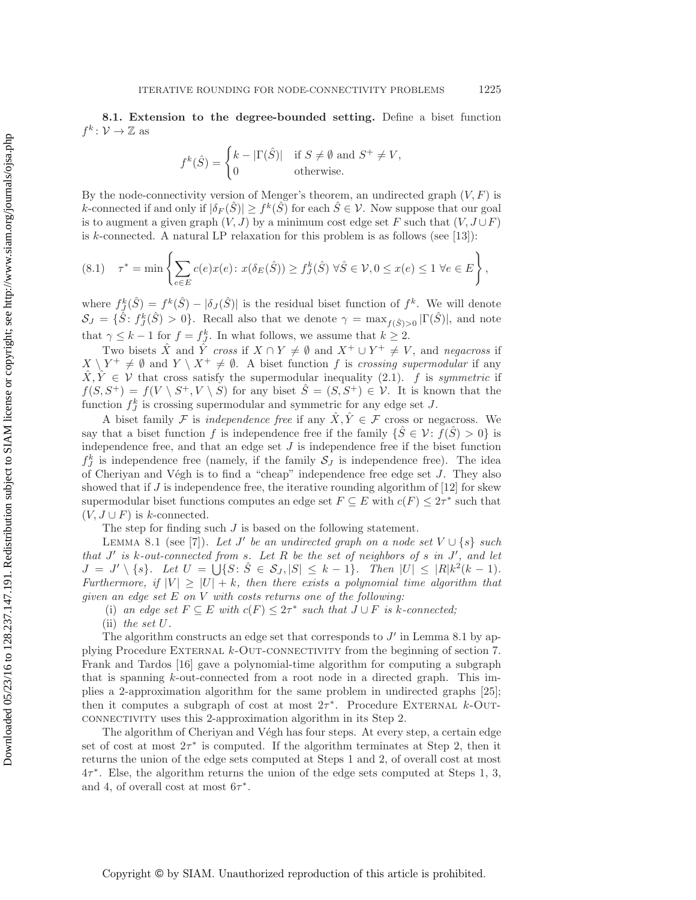<span id="page-23-0"></span>**8.1. Extension to the degree-bounded setting.** Define a biset function  $f^k \colon \mathcal{V} \to \mathbb{Z}$  as

$$
f^k(\hat{S}) = \begin{cases} k - |\Gamma(\hat{S})| & \text{if } S \neq \emptyset \text{ and } S^+ \neq V, \\ 0 & \text{otherwise.} \end{cases}
$$

By the node-connectivity version of Menger's theorem, an undirected graph  $(V, F)$  is k-connected if and only if  $|\delta_F(\hat{S})| \geq f^k(\hat{S})$  for each  $\hat{S} \in \mathcal{V}$ . Now suppose that our goal is to augment a given graph  $(V, J)$  by a minimum cost edge set F such that  $(V, J \cup F)$ is k-connected. A natural LP relaxation for this problem is as follows (see  $[13]$ ):

$$
(8.1) \quad \tau^* = \min\left\{\sum_{e \in E} c(e)x(e) : x(\delta_E(\hat{S})) \ge f^k_J(\hat{S}) \,\,\forall \hat{S} \in \mathcal{V}, 0 \le x(e) \le 1 \,\,\forall e \in E\right\},
$$

where  $f_S^k(\hat{S}) = f^k(\hat{S}) - |\delta_J(\hat{S})|$  is the residual biset function of  $f^k$ . We will denote  $S_J = {\hat{S}: f_J^k(\hat{S}) > 0}.$  Recall also that we denote  $\gamma = \max_{f(\hat{S})>0} |\Gamma(\hat{S})|$ , and note that  $\gamma \leq k-1$  for  $f = f_f^k$ . In what follows, we assume that  $k \geq 2$ .<br>Thus highle  $\hat{Y}$  and  $\hat{Y}$  areas if  $Y \cap Y$  /  $\emptyset$  and  $Y^+ + Y^+$ 

Two bisets  $\hat{X}$  and  $\hat{Y}$  *cross* if  $X \cap Y \neq \emptyset$  and  $X^+ \cup Y^+ \neq V$ , and *negacross* if  $X \setminus Y^+ \neq \emptyset$  and  $Y \setminus X^+ \neq \emptyset$ . A biset function f is *crossing supermodular* if any  $\hat{X}, \hat{Y} \in \mathcal{V}$  that cross satisfy the supermodular inequality [\(2.1\)](#page-6-1). f is *symmetric* if  $f(S, S^+) = f(V \setminus S^+, V \setminus S)$  for any biset  $\hat{S} = (S, S^+) \in \mathcal{V}$ . It is known that the function  $f_{J}^{k}$  is crossing supermodular and symmetric for any edge set J.

A biset family F is *independence free* if any  $\hat{X}, \hat{Y} \in \mathcal{F}$  cross or negacross. We say that a biset function f is independence free if the family  $\{\hat{S} \in \mathcal{V} : f(\hat{S}) > 0\}$  is independence free, and that an edge set  $J$  is independence free if the biset function  $f_j^k$  is independence free (namely, if the family  $S_j$  is independence free). The idea<br>of Cherium and Véch is to find a "cheap" independence free edge set L. They also of Cheriyan and Végh is to find a "cheap" independence free edge set  $J$ . They also showed that if  $J$  is independence free, the iterative rounding algorithm of [\[12\]](#page-26-2) for skew supermodular biset functions computes an edge set  $F \subseteq E$  with  $c(F) \leq 2\tau^*$  such that  $(V, J \cup F)$  is k-connected.

The step for finding such J is based on the following statement.

<span id="page-23-1"></span>LEMMA 8.1 (see [\[7\]](#page-26-7)). Let J' be an undirected graph on a node set  $V \cup \{s\}$  such *that* J *is* k*-out-connected from* s*. Let* R *be the set of neighbors of* s *in* J *, and let*  $J = J' \setminus \{s\}.$  Let  $U = \bigcup \{S : \hat{S} \in \mathcal{S}_J, |S| \leq k - 1\}.$  Then  $|U| \leq |R|k^2(k - 1).$ *Furthermore, if*  $|V| \geq |U| + k$ *, then there exists a polynomial time algorithm that given an edge set* E *on* V *with costs returns one of the following:*

(i) an edge set  $F \subseteq E$  with  $c(F) \leq 2\tau^*$  such that  $J \cup F$  is k-connected;

(ii) *the set* U*.*

The algorithm constructs an edge set that corresponds to  $J'$  in Lemma [8.1](#page-23-1) by applying Procedure External k-Out-connectivity from the beginning of section [7.](#page-19-0) Frank and Tardos [\[16\]](#page-27-26) gave a polynomial-time algorithm for computing a subgraph that is spanning  $k$ -out-connected from a root node in a directed graph. This implies a 2-approximation algorithm for the same problem in undirected graphs [\[25\]](#page-27-22); then it computes a subgraph of cost at most  $2\tau^*$ . Procedure EXTERNAL k-OUTconnectivity uses this 2-approximation algorithm in its Step 2.

The algorithm of Cheriyan and Végh has four steps. At every step, a certain edge set of cost at most  $2\tau^*$  is computed. If the algorithm terminates at Step 2, then it returns the union of the edge sets computed at Steps 1 and 2, of overall cost at most  $4\tau^*$ . Else, the algorithm returns the union of the edge sets computed at Steps 1, 3, and 4, of overall cost at most  $6\tau^*$ .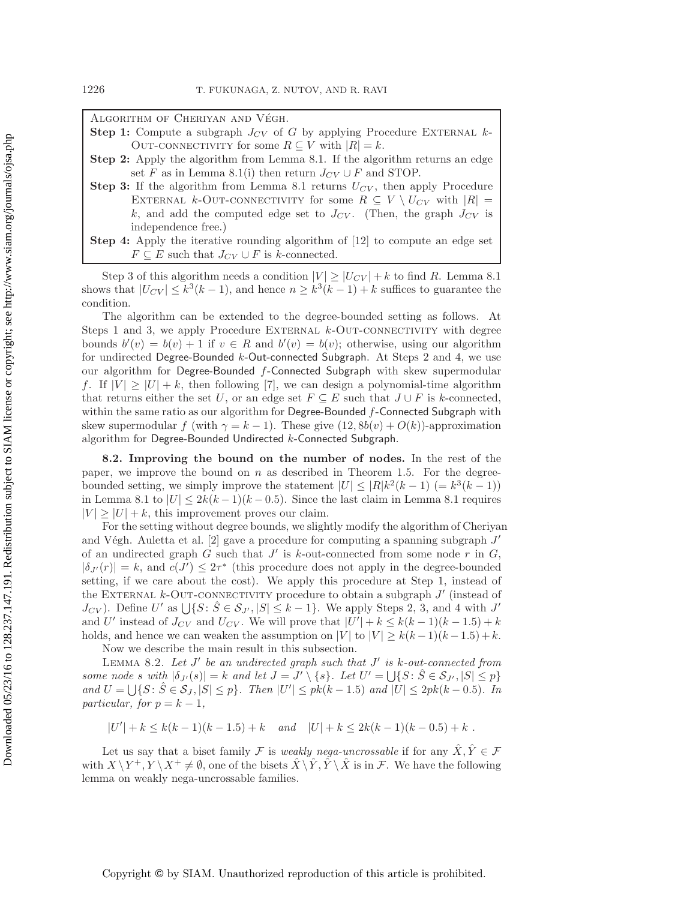ALGORITHM OF CHERIYAN AND VÉGH.

- **Step 1:** Compute a subgraph  $J_{CV}$  of G by applying Procedure EXTERNAL  $k$ -OUT-CONNECTIVITY for some  $R \subseteq V$  with  $|R| = k$ .
- **Step 2:** Apply the algorithm from Lemma [8.1.](#page-23-1) If the algorithm returns an edge set F as in Lemma [8.1\(](#page-23-1)i) then return  $J_{CV} \cup F$  and STOP.
- **Step 3:** If the algorithm from Lemma [8.1](#page-23-1) returns  $U_{CV}$ , then apply Procedure EXTERNAL k-OUT-CONNECTIVITY for some  $R \subseteq V \setminus U_{CV}$  with  $|R| =$ k, and add the computed edge set to  $J_{CV}$ . (Then, the graph  $J_{CV}$  is independence free.)
- **Step 4:** Apply the iterative rounding algorithm of [\[12\]](#page-26-2) to compute an edge set  $F \subseteq E$  such that  $J_{CV} \cup F$  is k-connected.

Step 3 of this algorithm needs a condition  $|V| \geq |U_{CV}| + k$  to find R. Lemma [8.1](#page-23-1) shows that  $|U_{CV}| \leq k^3(k-1)$ , and hence  $n \geq k^3(k-1) + k$  suffices to guarantee the condition.

The algorithm can be extended to the degree-bounded setting as follows. At Steps 1 and 3, we apply Procedure EXTERNAL  $k$ -OUT-CONNECTIVITY with degree bounds  $b'(v) = b(v) + 1$  if  $v \in R$  and  $b'(v) = b(v)$ ; otherwise, using our algorithm for undirected Degree-Bounded k-Out-connected Subgraph. At Steps 2 and 4, we use our algorithm for Degree-Bounded f-Connected Subgraph with skew supermodular f. If  $|V| \geq |U| + k$ , then following [\[7\]](#page-26-7), we can design a polynomial-time algorithm that returns either the set U, or an edge set  $F \subseteq E$  such that  $J \cup F$  is k-connected, within the same ratio as our algorithm for Degree-Bounded  $f$ -Connected Subgraph with skew supermodular f (with  $\gamma = k - 1$ ). These give  $(12, 8b(v) + O(k))$ -approximation algorithm for Degree-Bounded Undirected k-Connected Subgraph.

**8.2. Improving the bound on the number of nodes.** In the rest of the paper, we improve the bound on  $n$  as described in Theorem [1.5.](#page-5-1) For the degreebounded setting, we simply improve the statement  $|U| \leq |R|k^2(k-1)$  (=  $k^3(k-1)$ ) in Lemma [8.1](#page-23-1) to  $|U| \leq 2k(k-1)(k-0.5)$ . Since the last claim in Lemma 8.1 requires  $|V| \geq |U| + k$ , this improvement proves our claim.

For the setting without degree bounds, we slightly modify the algorithm of Cheriyan and Végh. Auletta et al.  $[2]$  gave a procedure for computing a spanning subgraph  $J'$ of an undirected graph G such that  $J'$  is k-out-connected from some node r in  $G$ ,  $|\delta_{J'}(r)| = k$ , and  $c(J') \leq 2\tau^*$  (this procedure does not apply in the degree-bounded<br>cetting if we can about the sect). We apply this procedure at Stap 1 instead of setting, if we care about the cost). We apply this procedure at Step 1, instead of the EXTERNAL  $k$ -OUT-CONNECTIVITY procedure to obtain a subgraph  $J'$  (instead of  $J_{CV}$ ). Define U' as  $\bigcup \{S : \hat{S} \in S_{J'}, |S| \le k-1\}$ . We apply Steps 2, 3, and 4 with  $J'$ and U' instead of  $J_{CV}$  and  $U_{CV}$ . We will prove that  $|U'| + k \leq k(k-1)(k-1.5) + k$ holds, and hence we can weaken the assumption on  $|V|$  to  $|V| \ge k(k-1)(k-1.5) + k$ . Now we describe the main result in this subsection.

<span id="page-24-0"></span>LEMMA 8.2. Let  $J'$  be an undirected graph such that  $J'$  is k-out-connected from *some node* s with  $|\delta_{J'}(s)| = k$  *and let*  $J = J' \setminus \{s\}$ . Let  $U' = \bigcup \{S : \hat{S} \in \mathcal{S}_{J'} , |S| \leq p\}$  $\text{and } U = \bigcup \{ S : \hat{S} \in \mathcal{S}_J, |S| \leq p \}.$  Then  $|U'| \leq p k (k-1.5)$  and  $|U| \leq 2p k (k-0.5)$ *. In particular, for*  $p = k - 1$ ,

$$
|U'| + k \le k(k-1)(k-1.5) + k \quad and \quad |U| + k \le 2k(k-1)(k-0.5) + k.
$$

Let us say that a biset family F is *weakly nega-uncrossable* if for any  $\hat{X}, \hat{Y} \in \mathcal{F}$ with  $X \ Y^+, Y \ X^+ \neq \emptyset$ , one of the bisets  $X \ Y, Y \ X$  is in F. We have the following lemma on weakly nega-uncrossable families.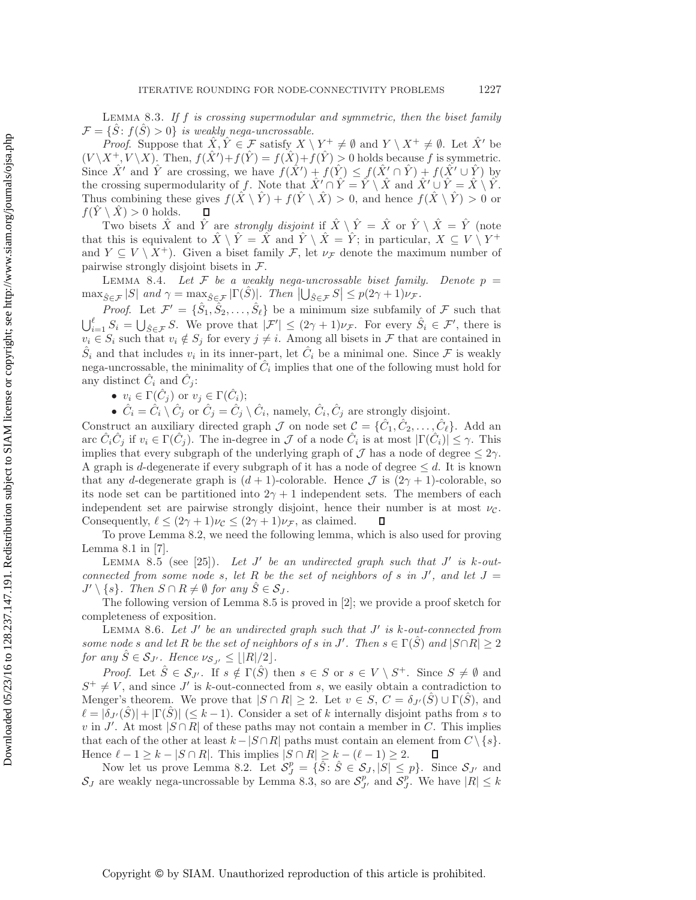<span id="page-25-1"></span>Lemma 8.3. *If* f *is crossing supermodular and symmetric, then the biset family*  $\mathcal{F} = \{ \hat{S} : f(\hat{S}) > 0 \}$  *is weakly nega-uncrossable.* 

*Proof.* Suppose that  $\hat{X}, \hat{Y} \in \mathcal{F}$  satisfy  $X \setminus Y^+ \neq \emptyset$  and  $Y \setminus X^+ \neq \emptyset$ . Let  $\hat{X}'$  be  $(V \setminus X^+, V \setminus X)$ . Then,  $f(\hat{X}') + f(\hat{Y}) = f(\hat{X}) + f(\hat{Y}) > 0$  holds because f is symmetric. Since  $\hat{X}'$  and  $\hat{Y}$  are crossing, we have  $f(\hat{X}') + f(\hat{Y}) \leq f(\hat{X}' \cap \hat{Y}) + f(\hat{X}' \cup \hat{Y})$  by the crossing supermodularity of f. Note that  $\hat{X}' \cap \hat{Y} = \hat{Y} \setminus \hat{X}$  and  $\hat{X}' \cup \hat{Y} = \hat{X} \setminus \hat{Y}$ . Thus combining these gives  $f(\hat{X} \setminus \hat{Y}) + f(\hat{Y} \setminus \hat{X}) > 0$ , and hence  $f(\hat{X} \setminus \hat{Y}) > 0$  or  $f(Y \setminus \hat{X}) > 0$  holds. П

Two bisets  $\hat{X}$  and  $\hat{Y}$  are *strongly disjoint* if  $\hat{X} \setminus \hat{Y} = \hat{X}$  or  $\hat{Y} \setminus \hat{X} = \hat{Y}$  (note that this is equivalent to  $\hat{X} \setminus \hat{Y} = \hat{X}$  and  $\hat{Y} \setminus \hat{X} = \hat{Y}$ ; in particular,  $X \subseteq V \setminus Y^+$ and  $Y \subseteq V \setminus X^+$ . Given a biset family F, let  $\nu_{\mathcal{F}}$  denote the maximum number of pairwise strongly disjoint bisets in  $\mathcal{F}$ .

<span id="page-25-3"></span>LEMMA 8.4. Let  $F$  be a weakly nega-uncrossable biset family. Denote  $p =$  $\max_{\hat{S} \in \mathcal{F}} |S|$  and  $\gamma = \max_{\hat{S} \in \mathcal{F}} |\Gamma(\hat{S})|$ *. Then*  $|\bigcup_{\hat{S} \in \mathcal{F}} S| \leq p(2\gamma + 1)\nu_{\mathcal{F}}$ .

*Proof.* Let  $\mathcal{F}' = \{\hat{S}_1, \hat{S}_2, \dots, \hat{S}_\ell\}$  be a minimum size subfamily of  $\mathcal{F}$  such that  $\bigcup_{i=1}^{\ell} S_i = \bigcup_{\hat{S} \in \mathcal{F}} S$ . We prove that  $|\mathcal{F}'| \leq (2\gamma + 1)\nu_{\mathcal{F}}$ . For every  $\hat{S}_i \in \mathcal{F}'$ , there is  $v_i \in S$ , such that  $v_i \notin S$ , for every  $i \neq i$ . Among all bisets in  $\mathcal{F}$  that are contained in  $v_i \in S_i$  such that  $v_i \notin S_j$  for every  $j \neq i$ . Among all bisets in F that are contained in  $\hat{S}_i$  and that includes  $v_i$  in its inner-part, let  $\hat{C}_i$  be a minimal one. Since F is weakly nega-uncrossable, the minimality of  $\hat{C}_i$  implies that one of the following must hold for any distinct  $\hat{C}_i$  and  $\hat{C}_j$ :

•  $v_i \in \Gamma(\hat{C}_j)$  or  $v_j \in \Gamma(\hat{C}_i)$ ;

•  $C_i = C_i \setminus C_j$  or  $C_j = C_j \setminus C_i$ , namely,  $C_i, \hat{C}_j$  are strongly disjoint.

Construct an auxiliary directed graph  $\mathcal J$  on node set  $\mathcal C = \{\hat C_1, \hat C_2, \ldots, \hat C_\ell\}$ . Add an arc  $\hat{C}_i\hat{C}_j$  if  $v_i \in \Gamma(\hat{C}_j)$ . The in-degree in  $\mathcal J$  of a node  $\hat{C}_i$  is at most  $|\Gamma(\hat{C}_i)| \leq \gamma$ . This implies that every subgraph of the underlying graph of  $\mathcal J$  has a node of degree  $\leq 2\gamma$ . A graph is d-degenerate if every subgraph of it has a node of degree  $\leq d$ . It is known that any d-degenerate graph is  $(d + 1)$ -colorable. Hence  $\mathcal{J}$  is  $(2\gamma + 1)$ -colorable, so its node set can be partitioned into  $2\gamma + 1$  independent sets. The members of each independent set are pairwise strongly disjoint, hence their number is at most  $\nu_{\mathcal{C}}$ .<br>Consequently,  $\ell \leq (2\gamma + 1)\nu_{\mathcal{C}} \leq (2\gamma + 1)\nu_{\mathcal{F}}$ , as claimed.  $\Box$ Consequently,  $\ell \leq (2\gamma + 1)\nu_c \leq (2\gamma + 1)\nu_{\mathcal{F}}$ , as claimed.

To prove Lemma [8.2,](#page-24-0) we need the following lemma, which is also used for proving Lemma [8.1](#page-23-1) in [\[7\]](#page-26-7).

<span id="page-25-0"></span>LEMMA 8.5 (see [\[25\]](#page-27-22)). Let  $J'$  be an undirected graph such that  $J'$  is k-out*connected from some node* s, let R be the set of neighbors of s in  $J'$ , and let  $J =$  $J' \setminus \{s\}$ . Then  $S \cap R \neq \emptyset$  for any  $S \in \mathcal{S}_J$ .

The following version of Lemma [8.5](#page-25-0) is proved in [\[2\]](#page-26-11); we provide a proof sketch for completeness of exposition.

<span id="page-25-2"></span>LEMMA 8.6. Let  $J'$  be an undirected graph such that  $J'$  is k-out-connected from *some node* s and let R be the set of neighbors of s in J'. Then  $s \in \Gamma(\hat{S})$  and  $|S \cap R| \geq 2$ *for any*  $\hat{S} \in \mathcal{S}_{J'}$ . Hence  $\nu_{\mathcal{S}_{J'}} \leq \lfloor |R|/2 \rfloor$ .

*Proof.* Let  $\hat{S} \in \mathcal{S}_{J'}$ . If  $s \notin \Gamma(\hat{S})$  then  $s \in S$  or  $s \in V \setminus S^+$ . Since  $S \neq \emptyset$  and  $S^+ \neq V$ , and since J' is k-out-connected from s, we easily obtain a contradiction to Menger's theorem. We prove that  $|S \cap R| \ge 2$ . Let  $v \in S$ ,  $C = \delta_{J'}(\hat{S}) \cup \Gamma(\hat{S})$ , and  $\ell = |\delta_{J'}(\hat{S})| + |\Gamma(\hat{S})| \leq k - 1$ ). Consider a set of k internally disjoint paths from s to v in J'. At most  $|S \cap R|$  of these paths may not contain a member in C. This implies that each of the other at least  $k-|S \cap R|$  paths must contain an element from  $C \setminus \{s\}.$ Hence  $\ell - 1 \geq k - |S \cap R|$ . This implies  $|S \cap R| \geq k - (\ell - 1) \geq 2$ . П

Now let us prove Lemma [8.2.](#page-24-0) Let  $S_f^p = {\hat{S}: \hat{S} \in \mathcal{S}_J, |\hat{S}| \leq p}.$  Since  $S_{J'}$  and  $S_{J'}$  and  $S_{J'}$  and  $S_{J'}$  we have  $|R| \leq k$  $S_J$  are weakly nega-uncrossable by Lemma [8.3,](#page-25-1) so are  $S_{J'}^p$  and  $S_J^p$ . We have  $|R| \leq k$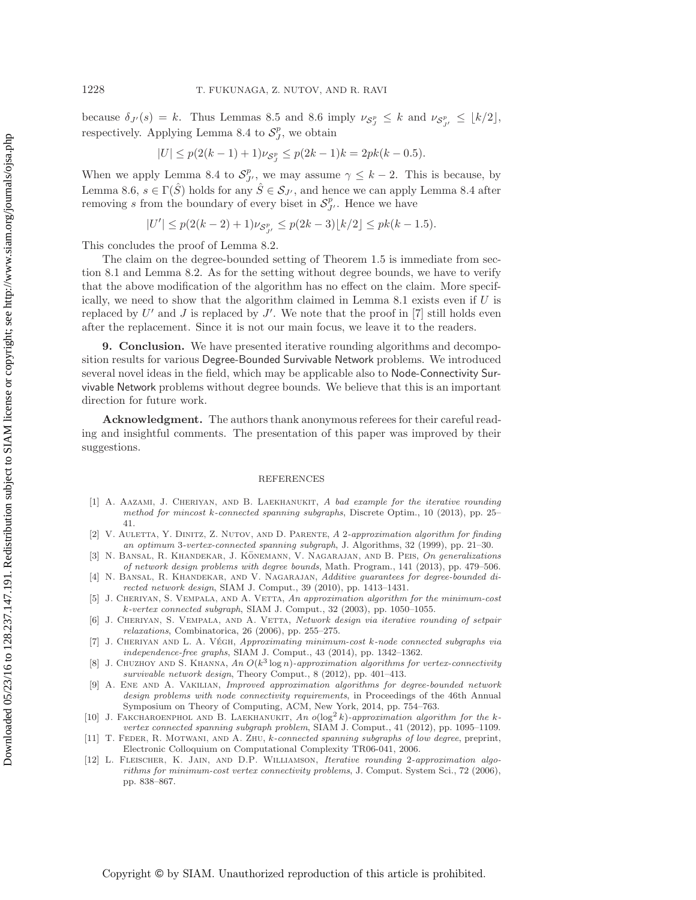because  $\delta_{J'}(s) = k$ . Thus Lemmas [8.5](#page-25-0) and [8.6](#page-25-2) imply  $\nu_{\mathcal{S}_{J}^p} \leq k$  and  $\nu_{\mathcal{S}_{J'}^p} \leq \lfloor k/2 \rfloor$ , respectively. Applying Lemma [8.4](#page-25-3) to  $S_J^p$ , we obtain

$$
|U| \le p(2(k-1)+1)\nu_{\mathcal{S}_J^p} \le p(2k-1)k = 2pk(k-0.5).
$$

When we apply Lemma [8.4](#page-25-3) to  $S_{I'}^p$ , we may assume  $\gamma \leq k-2$ . This is because, by Lemma [8.6,](#page-25-2)  $s \in \Gamma(\hat{S})$  holds for any  $\hat{S} \in S_{J'}$ , and hence we can apply Lemma [8.4](#page-25-3) after<br>nongoing a from the houndary of grown biggit in  $S^p$ . Hence we house removing s from the boundary of every biset in  $S_{J'}^p$ . Hence we have

$$
|U'| \le p(2(k-2)+1)\nu_{\mathcal{S}_{J'}^p} \le p(2k-3)\lfloor k/2 \rfloor \le pk(k-1.5).
$$

This concludes the proof of Lemma [8.2.](#page-24-0)

The claim on the degree-bounded setting of Theorem [1.5](#page-5-1) is immediate from section [8.1](#page-23-0) and Lemma [8.2.](#page-24-0) As for the setting without degree bounds, we have to verify that the above modification of the algorithm has no effect on the claim. More specif-ically, we need to show that the algorithm claimed in Lemma [8.1](#page-23-1) exists even if  $U$  is replaced by U' and J is replaced by J'. We note that the proof in [\[7\]](#page-26-7) still holds even after the replacement. Since it is not our main focus, we leave it to the readers.

**9. Conclusion.** We have presented iterative rounding algorithms and decomposition results for various Degree-Bounded Survivable Network problems. We introduced several novel ideas in the field, which may be applicable also to Node-Connectivity Survivable Network problems without degree bounds. We believe that this is an important direction for future work.

**Acknowledgment.** The authors thank anonymous referees for their careful reading and insightful comments. The presentation of this paper was improved by their suggestions.

#### **REFERENCES**

- <span id="page-26-4"></span>[1] A. Aazami, J. Cheriyan, and B. Laekhanukit, *A bad example for the iterative rounding method for mincost k-connected spanning subgraphs*, Discrete Optim., 10 (2013), pp. 25– 41.
- <span id="page-26-11"></span>[2] V. Auletta, Y. Dinitz, Z. Nutov, and D. Parente, *A* 2*-approximation algorithm for finding an optimum* 3*-vertex-connected spanning subgraph*, J. Algorithms, 32 (1999), pp. 21–30.
- <span id="page-26-1"></span>[3] N. BANSAL, R. KHANDEKAR, J. KÖNEMANN, V. NAGARAJAN, AND B. PEIS, On generalizations *of network design problems with degree bounds*, Math. Program., 141 (2013), pp. 479–506.
- <span id="page-26-0"></span>[4] N. Bansal, R. Khandekar, and V. Nagarajan, *Additive guarantees for degree-bounded directed network design*, SIAM J. Comput., 39 (2010), pp. 1413–1431.
- <span id="page-26-5"></span>[5] J. Cheriyan, S. Vempala, and A. Vetta, *An approximation algorithm for the minimum-cost k-vertex connected subgraph*, SIAM J. Comput., 32 (2003), pp. 1050–1055.
- <span id="page-26-3"></span>[6] J. Cheriyan, S. Vempala, and A. Vetta, *Network design via iterative rounding of setpair relaxations*, Combinatorica, 26 (2006), pp. 255–275.
- <span id="page-26-7"></span>[7] J. CHERIYAN AND L. A. VÉGH, *Approximating minimum-cost k-node connected subgraphs via independence-free graphs*, SIAM J. Comput., 43 (2014), pp. 1342–1362.
- <span id="page-26-8"></span>[8] J. Chuzhoy and S. Khanna, *An O*(*k*<sup>3</sup> log *n*)*-approximation algorithms for vertex-connectivity survivable network design*, Theory Comput., 8 (2012), pp. 401–413.
- <span id="page-26-10"></span>[9] A. Ene and A. Vakilian, *Improved approximation algorithms for degree-bounded network design problems with node connectivity requirements*, in Proceedings of the 46th Annual Symposium on Theory of Computing, ACM, New York, 2014, pp. 754–763.
- <span id="page-26-6"></span>[10] J. Fakcharoenphol and B. Laekhanukit, *An o*(log<sup>2</sup> *k*)*-approximation algorithm for the kvertex connected spanning subgraph problem*, SIAM J. Comput., 41 (2012), pp. 1095–1109.
- <span id="page-26-9"></span>[11] T. Feder, R. Motwani, and A. Zhu, *k-connected spanning subgraphs of low degree*, preprint, Electronic Colloquium on Computational Complexity TR06-041, 2006.
- <span id="page-26-2"></span>[12] L. Fleischer, K. Jain, and D.P. Williamson, *Iterative rounding* 2*-approximation algorithms for minimum-cost vertex connectivity problems*, J. Comput. System Sci., 72 (2006), pp. 838–867.